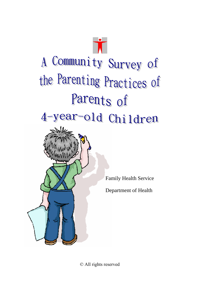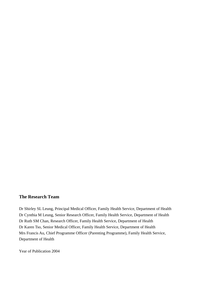## **The Research Team**

Dr Shirley SL Leung, Principal Medical Officer, Family Health Service, Department of Health Dr Cynthia M Leung, Senior Research Officer, Family Health Service, Department of Health Dr Ruth SM Chan, Research Officer, Family Health Service, Department of Health Dr Karen Tso, Senior Medical Officer, Family Health Service, Department of Health Mrs Francis Au, Chief Programme Officer (Parenting Programme), Family Health Service, Department of Health

Year of Publication 2004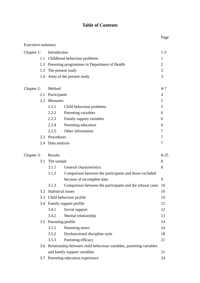# **Table of Contents**

|                   |     |                            |                                                                         | Page           |
|-------------------|-----|----------------------------|-------------------------------------------------------------------------|----------------|
| Executive summary |     |                            |                                                                         |                |
| Chapter 1:        |     | Introduction               |                                                                         |                |
|                   | 1.1 |                            | Childhood behaviour problems                                            | 1              |
|                   |     |                            | 1.2 Parenting programmes in Department of Health                        | $\overline{2}$ |
|                   | 1.3 |                            | The present study                                                       | 3              |
|                   |     |                            | 1.4 Aims of the present study                                           | 3              |
| Chapter 2:        |     | Method                     |                                                                         | $4 - 7$        |
|                   | 2.1 | Participants               |                                                                         | $\overline{4}$ |
|                   |     | 2.2 Measures               |                                                                         | 5              |
|                   |     | 2.2.1                      | Child behaviour problems                                                | 5              |
|                   |     | 2.2.2                      | Parenting variables                                                     | 6              |
|                   |     | 2.2.3                      | Family support variables                                                | 6              |
|                   |     | 2.2.4                      | Parenting education                                                     | 6              |
|                   |     | 2.2.5                      | Other information                                                       | 7              |
|                   |     | 2.3 Procedures             |                                                                         | 7              |
|                   |     | 2.4 Data analysis          |                                                                         | 7              |
| Chapter 3:        |     | Results                    |                                                                         | $8 - 25$       |
|                   | 3.1 | The sample                 |                                                                         | 8              |
|                   |     | 3.1.1                      | General characteristics                                                 | 8              |
|                   |     | 3.1.2                      | Comparison between the participants and those excluded                  |                |
|                   |     |                            | because of incomplete data                                              | 9              |
|                   |     | 3.1.3                      | Comparison between the participants and the refusal cases               | 10             |
|                   | 3.2 |                            | <b>Statistical issues</b>                                               | 10             |
|                   | 3.3 |                            | Child behaviour profile                                                 | 10             |
|                   |     | 3.4 Family support profile |                                                                         | 12             |
|                   |     | 3.4.1                      | Social support                                                          | 12             |
|                   |     | 3.4.2                      | Marital relationship                                                    | 13             |
|                   |     |                            | 3.5 Parenting profile                                                   | 14             |
|                   |     | 3.5.1                      | Parenting stress                                                        | 14             |
|                   |     | 3.5.2                      | Dysfunctional discipline style                                          | 18             |
|                   |     | 3.5.3                      | Parenting efficacy                                                      | 21             |
|                   |     |                            | 3.6 Relationship between child behaviour variables, parenting variables |                |
|                   |     |                            | and family support variables                                            | 21             |
|                   | 3.7 |                            | Parenting education experience                                          | 24             |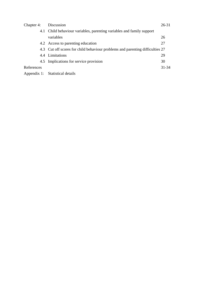| Chapter 4: | Discussion                                                                    | $26 - 31$ |
|------------|-------------------------------------------------------------------------------|-----------|
|            | 4.1 Child behaviour variables, parenting variables and family support         |           |
|            | variables                                                                     | 26        |
|            | 4.2 Access to parenting education                                             | 27        |
|            | 4.3 Cut off scores for child behaviour problems and parenting difficulties 27 |           |
|            | 4.4 Limitations                                                               | 29        |
|            | 4.5 Implications for service provision                                        | 30        |
| References |                                                                               | $31 - 34$ |
|            | Appendix 1: Statistical details                                               |           |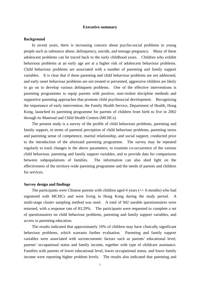#### **Executive summary**

#### **Background**

 In recent years, there is increasing concern about psycho-social problems in young people such as substance abuse, delinquency, suicide, and teenage pregnancy. Many of these adolescent problems can be traced back to the early childhood years. Children who exhibit behaviour problems at an early age are at a higher risk of adolescent behaviour problems. Child behaviour problems are associated with a number of parenting and family support variables. It is clear that if these parenting and child behaviour problems are not addressed, and early onset behaviour problems are not treated or prevented, aggressive children are likely to go on to develop various delinquent problems. One of the effective interventions is parenting programmes to equip parents with positive, non-violent discipline methods and supportive parenting approaches that promote child psychosocial development. Recognizing the importance of early intervention, the Family Health Service, Department of Health, Hong Kong, launched its parenting programme for parents of children from birth to five in 2002 through its Maternal and Child Health Centres (MCHCs).

 The present study is a survey of the profile of child behaviour problems, parenting and family support, in terms of parental perception of child behaviour problems, parenting stress and parenting sense of competence, marital relationship, and social support, conducted prior to the introduction of the aforesaid parenting programme. The survey may be repeated regularly to track changes in the above parameters, to examine co-occurrence of the various child behaviour, parenting and family support variables, and to provide data for comparisons between subpopulations of families. The information can also shed light on the effectiveness of the territory-wide parenting programme and the needs of parents and children for services.

#### **Survey design and findings**

The participants were Chinese parents with children aged 4 years  $(+/- 6$  months) who had registered with MCHCs and were living in Hong Kong during the study period. A multi-stage cluster sampling method was used. A total of 942 useable questionnaires were returned, with a response rate of 83.29%. The participants were requested to complete a set of questionnaires on child behaviour problems, parenting and family support variables, and access to parenting education.

 The results indicated that approximately 10% of children may have clinically significant behaviour problems, which warrants further evaluation. Parenting and family support variables were associated with socioeconomic factors such as parents' educational level, parents' occupational status and family income, together with type of childcare assistance. Families with parents of lower educational level, lower occupational status, and lower family income were reporting higher problem levels. The results also indicated that parenting and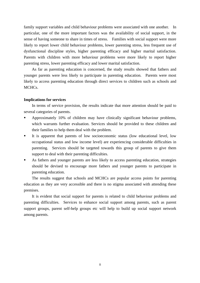family support variables and child behaviour problems were associated with one another. In particular, one of the more important factors was the availability of social support, in the sense of having someone to share in times of stress. Families with social support were more likely to report lower child behaviour problems, lower parenting stress, less frequent use of dysfunctional discipline styles, higher parenting efficacy and higher marital satisfaction. Parents with children with more behaviour problems were more likely to report higher parenting stress, lower parenting efficacy and lower marital satisfaction.

 As far as parenting education is concerned, the study results showed that fathers and younger parents were less likely to participate in parenting education. Parents were most likely to access parenting education through direct services to children such as schools and MCHCs.

### **Implications for services**

 In terms of service provision, the results indicate that more attention should be paid to several categories of parents.

- Approximately 10% of children may have clinically significant behaviour problems, which warrants further evaluation. Services should be provided to these children and their families to help them deal with the problem.
- It is apparent that parents of low socioeconomic status (low educational level, low occupational status and low income level) are experiencing considerable difficulties in parenting. Services should be targeted towards this group of parents to give them support to deal with their parenting difficulties.
- As fathers and younger parents are less likely to access parenting education, strategies should be devised to encourage more fathers and younger parents to participate in parenting education.

 The results suggest that schools and MCHCs are popular access points for parenting education as they are very accessible and there is no stigma associated with attending these premises.

 It is evident that social support for parents is related to child behaviour problems and parenting difficulties. Services to enhance social support among parents, such as parent support groups, parent self-help groups etc will help to build up social support network among parents.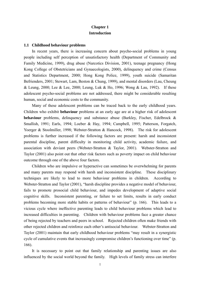## **Chapter 1 Introduction**

#### **1.1 Childhood behaviour problems**

 In recent years, there is increasing concern about psycho-social problems in young people including self perception of unsatisfactory health (Department of Community and Family Medicine, 1999), drug abuse (Narcotics Division, 2001), teenage pregnancy (Hong Kong College of Obstetricians and Gynaecologists, 2000), delinquency and crime (Census and Statistics Department, 2000; Hong Kong Police, 1999), youth suicide (Samaritan Befrienders, 2001; Stewart, Lam, Beston & Chung, 1999), and mental disorders (Lau, Cheung & Leung, 2000; Lee & Lee, 2000; Leung, Luk & Ho, 1996; Wong & Lau, 1992). If these adolescent psycho-social problems are not addressed, there might be considerable resulting human, social and economic costs to the community.

 Many of these adolescent problems can be traced back to the early childhood years. Children who exhibit **behaviour** problems at an early age are at a higher risk of adolescent **behaviour** problems, delinquency and substance abuse (Barkley, Fischer, Edelbrock & Smallish, 1991; Earls, 1994; Loeber & Hay, 1994; Campbell, 1995; Patterson, Forgatch, Yoerger & Stoolmiller, 1998; Webster-Stratton & Hancock, 1998). The risk for adolescent problems is further increased if the following factors are present: harsh and inconsistent parental discipline, parent difficulty in monitoring child activity, academic failure, and association with deviant peers (Webster-Stratton & Taylor, 2001). Webster-Stratton and Taylor (2001) also point out that other risk factors such as poverty impact on child behaviour outcome through one of the above four factors.

 Children who are impulsive or hyperactive can sometimes be overwhelming for parents and many parents may respond with harsh and inconsistent discipline. These disciplinary techniques are likely to lead to more behaviour problems in children. According to Webster-Stratton and Taylor (2001), "harsh discipline provides a negative model of behaviour, fails to promote prosocial child behaviour, and impedes development of adaptive social cognitive skills. Inconsistent parenting, or failure to set limits, results in early conduct problems becoming more stable habits or patterns of behaviour" (p. 166). This leads to a vicious cycle where ineffective parenting leads to child behaviour problems which lead to increased difficulties in parenting. Children with behaviour problems face a greater chance of being rejected by teachers and peers in school. Rejected children often make friends with other rejected children and reinforce each other's antisocial behaviour. Webster-Stratton and Taylor (2001) maintain that early childhood behaviour problems "may result in a synergistic cycle of cumulative events that increasingly compromise children's functioning over time" (p. 166).

 It is necessary to point out that family relationship and parenting issues are also influenced by the social world beyond the family. High levels of family stress can interfere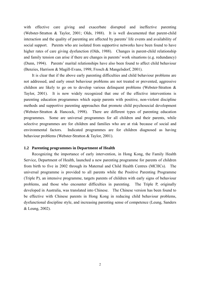with effective care giving and exacerbate disrupted and ineffective parenting (Webster-Stratton & Taylor, 2001; Olds, 1988). It is well documented that parent-child interaction and the quality of parenting are affected by parents' life events and availability of social support. Parents who are isolated from supportive networks have been found to have higher rates of care giving dysfunction (Olds, 1988). Changes in parent-child relationship and family tension can arise if there are changes in parents' work situations (e.g. redundancy) (Dunn, 1994). Parents' marital relationships have also been found to affect child behaviour (Benzies, Harrison & Magill-Evans, 1998; Frosch & Mangelsdorf, 2001).

 It is clear that if the above early parenting difficulties and child behaviour problems are not addressed, and early onset behaviour problems are not treated or prevented, aggressive children are likely to go on to develop various delinquent problems (Webster-Stratton & Taylor, 2001). It is now widely recognized that one of the effective interventions is parenting education programmes which equip parents with positive, non-violent discipline methods and supportive parenting approaches that promote child psychosocial development (Webster-Stratton & Hancock, 1998). There are different types of parenting education programmes. Some are universal programmes for all children and their parents, while selective programmes are for children and families who are at risk because of social and environmental factors. Indicated programmes are for children diagnosed as having behaviour problems (Webster-Stratton & Taylor, 2001).

#### **1.2 Parenting programmes in Department of Health**

 Recognizing the importance of early intervention, in Hong Kong, the Family Health Service, Department of Health, launched a new parenting programme for parents of children from birth to five in 2002 through its Maternal and Child Health Centres (MCHCs). The universal programme is provided to all parents while the Positive Parenting Programme (Triple P), an intensive programme, targets parents of children with early signs of behaviour problems, and those who encounter difficulties in parenting. The Triple P, originally developed in Australia, was translated into Chinese. The Chinese version has been found to be effective with Chinese parents in Hong Kong in reducing child behaviour problems, dysfunctional discipline style, and increasing parenting sense of competence (Leung, Sanders & Leung, 2002).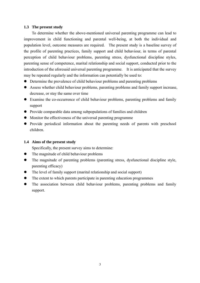### **1.3 The present study**

 To determine whether the above-mentioned universal parenting programme can lead to improvement in child functioning and parental well-being, at both the individual and population level, outcome measures are required. The present study is a baseline survey of the profile of parenting practices, family support and child behaviour, in terms of parental perception of child behaviour problems, parenting stress, dysfunctional discipline styles, parenting sense of competence, marital relationship and social support, conducted prior to the introduction of the aforesaid universal parenting programme. It is anticipated that the survey may be repeated regularly and the information can potentially be used to:

- Determine the prevalence of child behaviour problems and parenting problems
- Assess whether child behaviour problems, parenting problems and family support increase, decrease, or stay the same over time
- Examine the co-occurrence of child behaviour problems, parenting problems and family support
- Provide comparable data among subpopulations of families and children
- Monitor the effectiveness of the universal parenting programme
- Provide periodical information about the parenting needs of parents with preschool children.

### **1.4 Aims of the present study**

Specifically, the present survey aims to determine:

- The magnitude of child behaviour problems
- $\bullet$  The magnitude of parenting problems (parenting stress, dysfunctional discipline style, parenting efficacy)
- $\bullet$  The level of family support (marital relationship and social support)
- The extent to which parents participate in parenting education programmes
- The association between child behaviour problems, parenting problems and family support.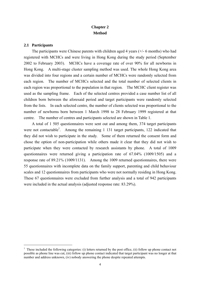# **Chapter 2 Method**

### **2.1 Participants**

 $\overline{a}$ 

 The participants were Chinese parents with children aged 4 years (+/- 6 months) who had registered with MCHCs and were living in Hong Kong during the study period (September 2002 to February 2003). MCHCs have a coverage rate of over 90% for all newborns in Hong Kong. A multi-stage cluster sampling method was used. The whole Hong Kong area was divided into four regions and a certain number of MCHCs were randomly selected from each region. The number of MCHCs selected and the total number of selected clients in each region was proportional to the population in that region. The MCHC client register was used as the sampling frame. Each of the selected centres provided a case number list of all children born between the aforesaid period and target participants were randomly selected from the lists. In each selected centre, the number of clients selected was proportional to the number of newborns born between 1 March 1998 to 28 February 1999 registered at that centre. The number of centres and participants selected are shown in Table 1.

 A total of 1 505 questionnaires were sent out and among them, 374 target participants were not contactable<sup>1</sup>. Among the remaining 1 131 target participants, 122 indicated that they did not wish to participate in the study. Some of them returned the consent form and chose the option of non-participation while others made it clear that they did not wish to participate when they were contacted by research assistants by phone. A total of 1009 questionnaires were returned giving a participation rate of 67.04% (1009/1505) and a response rate of 89.21% (1009/1131). Among the 1009 returned questionnaires, there were 55 questionnaires with incomplete data on the family support, parenting and child behaviour scales and 12 questionnaires from participants who were not normally residing in Hong Kong. These 67 questionnaires were excluded from further analysis and a total of 942 participants were included in the actual analysis (adjusted response rate: 83.29%).

 $<sup>1</sup>$  These included the following categories: (i) letters returned by the post office, (ii) follow up phone contact not</sup> possible as phone line was cut, (iii) follow up phone contact indicated that target participant was no longer at that number and address unknown, (iv) nobody answering the phone despite repeated attempts.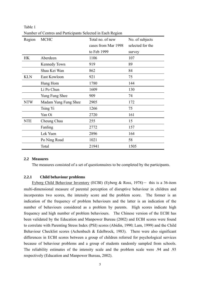| Region     | <b>MCHC</b>          | Total no. of new    | No. of subjects  |
|------------|----------------------|---------------------|------------------|
|            |                      | cases from Mar 1998 | selected for the |
|            |                      | to Feb 1999         | survey           |
| HK         | Aberdeen             | 1106                | 107              |
|            | Kennedy Town         | 919                 | 89               |
|            | Shau Kei Wan         | 862                 | 84               |
| <b>KLN</b> | East Kowloon         | 921                 | 75               |
|            | Hung Hom             | 1780                | 144              |
|            | Li Po Chun           | 1609                | 130              |
|            | Yung Fung Shee       | 909                 | 74               |
| <b>NTW</b> | Madam Yung Fung Shee | 2905                | 172              |
|            | Tsing Yi             | 1266                | 75               |
|            | Yan Oi               | 2720                | 161              |
| <b>NTE</b> | Cheung Chau          | 255                 | 15               |
|            | Fanling              | 2772                | 157              |
|            | Lek Yuen             | 2896                | 164              |
|            | Po Ning Road         | 1021                | 58               |
|            | Total                | 21941               | 1505             |

Table 1 Number of Centres and Participants Selected in Each Region

#### **2.2 Measures**

The measures consisted of a set of questionnaires to be completed by the participants.

### **2.2.1 Child behaviour problems**

Eyberg Child Behaviour Inventory (ECBI) (Eyberg & Ross,  $1978$ ) - this is a 36-item multi-dimensional measure of parental perception of disruptive behaviour in children and incorporates two scores, the intensity score and the problem score. The former is an indication of the frequency of problem behaviours and the latter is an indication of the number of behaviours considered as a problem by parents. High scores indicate high frequency and high number of problem behaviours. The Chinese version of the ECBI has been validated by the Education and Manpower Bureau (2002) and ECBI scores were found to correlate with Parenting Stress Index (PSI) scores (Abidin, 1990; Lam, 1999) and the Child Behaviour Checklist scores (Achenbach & Edelbrock, 1983). There were also significant differences in ECBI scores between a group of children referred for psychological services because of behaviour problems and a group of students randomly sampled from schools. The reliability estimates of the intensity scale and the problem scale were .94 and .93 respectively (Education and Manpower Bureau, 2002).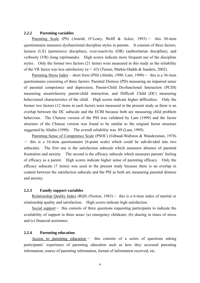### **2.2.2 Parenting variables**

Parenting Scale (PS) (Arnold, O'Leary, Wolff & Acker, 1993) - this 30-item questionnaire measures dysfunctional discipline styles in parents. It consists of three factors, laxness (LX) (permissive discipline), over-reactivity (OR) (authoritarian discipline), and verbosity (VR) (long reprimands). High scores indicate more frequent use of the discipline styles. Only the former two factors (21 items) were measured in this study as the reliability of the VR factor was less satisfactory ( $\alpha$  = .63) (Turner, Markie-Dadds & Sanders, 2002).

Parenting Stress Index – short form (PSI) (Abidin, 1990; Lam, 1999) – this is a 36-item questionnaire consisting of three factors: Parental Distress (PD) measuring an impaired sense of parental competence and depression, Parent-Child Dysfunctional Interaction (PCDI) measuring unsatisfactory parent-child interaction, and Difficult Child (DC) measuring behavioural characteristics of the child. High scores indicate higher difficulties. Only the former two factors (12 items in each factor) were measured in the present study as there is an overlap between the DC subscale and the ECBI because both are measuring child problem behaviour. The Chinese version of the PSI was validated by Lam (1999) and the factor structure of the Chinese version was found to be similar to the original factor structure suggested by Abidin (1990). The overall reliability was .89 (Lam, 1999).

 Parenting Sense of Competence Scale (PSOC) (Gibaud-Wallston & Wandersman, 1978)  $-$  this is a 16-item questionnaire (6-point scale) which could be sub-divided into two subscales. The first one is the satisfaction subscale which measures absence of parental frustration and anxiety. The second is the efficacy subscale which measures parents' feeling of efficacy as a parent. High scores indicate higher sense of parenting efficacy. Only the efficacy subscale (7 items) was used in the present study because there is an overlap in content between the satisfaction subscale and the PSI as both are measuring parental distress and anxiety.

### **2.2.3 Family support variables**

Relationship Quality Index (RQI) (Norton,  $1983$ ) - this is a 6-item index of marital or relationship quality and satisfaction. High scores indicate high satisfaction.

Social support $-$  this consists of three questions requesting participants to indicate the availability of support in three areas: (a) emergency childcare; (b) sharing in times of stress and (c) financial assistance.

### **2.2.4 Parenting education**

Access to parenting education  $-$  this consists of a series of questions asking participants' experience of parenting education such as how they accessed parenting information, source of parenting information, format of information received, etc.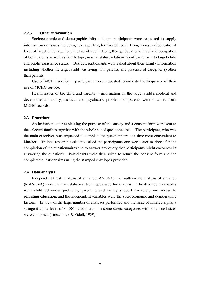### **2.2.5 Other information**

Socioeconomic and demographic information- participants were requested to supply information on issues including sex, age, length of residence in Hong Kong and educational level of target child, age, length of residence in Hong Kong, educational level and occupation of both parents as well as family type, marital status, relationship of participant to target child and public assistance status. Besides, participants were asked about their family information including whether the target child was living with parents, and presence of caregiver(s) other than parents.

Use of MCHC service - participants were requested to indicate the frequency of their use of MCHC service.

Health issues of the child and parents- information on the target child's medical and developmental history, medical and psychiatric problems of parents were obtained from MCHC records

#### **2.3 Procedures**

 An invitation letter explaining the purpose of the survey and a consent form were sent to the selected families together with the whole set of questionnaires. The participant, who was the main caregiver, was requested to complete the questionnaire at a time most convenient to him/her. Trained research assistants called the participants one week later to check for the completion of the questionnaires and to answer any query that participants might encounter in answering the questions. Participants were then asked to return the consent form and the completed questionnaires using the stamped envelopes provided.

### **2.4 Data analysis**

 Independent t test, analysis of variance (ANOVA) and multivariate analysis of variance (MANOVA) were the main statistical techniques used for analysis. The dependent variables were child behaviour problems, parenting and family support variables, and access to parenting education, and the independent variables were the socioeconomic and demographic factors. In view of the large number of analyses performed and the issue of inflated alpha, a stringent alpha level of < .001 is adopted. In some cases, categories with small cell sizes were combined (Tabachnick & Fidell, 1989).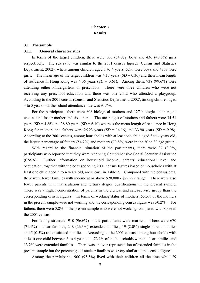## **Chapter 3 Results**

#### **3.1 The sample**

### **3.1.1 General characteristics**

In terms of the target children, there were 506  $(54.0\%)$  boys and 436  $(46.0\%)$  girls respectively. The sex ratio was similar to the 2001 census figures (Census and Statistics Department, 2002), where among children aged 1 to 4 years, 52% were boys and 48% were girls. The mean age of the target children was  $4.17$  years  $(SD = 0.30)$  and their mean length of residence in Hong Kong was  $4.06$  years  $(SD = 0.61)$ . Among them, 938 (99.6%) were attending either kindergartens or preschools. There were three children who were not receiving any preschool education and there was one child who attended a playgroup. According to the 2001 census (Census and Statistics Department, 2002), among children aged 3 to 5 years old, the school attendance rate was 94.7%.

 For the participants, there were 808 biological mothers and 127 biological fathers, as well as one foster mother and six others. The mean ages of mothers and fathers were 34.51 years ( $SD = 4.86$ ) and 38.80 years ( $SD = 6.10$ ) whereas the mean length of residence in Hong Kong for mothers and fathers were 25.23 years  $(SD = 14.16)$  and 33.90 years  $(SD = 9.98)$ . According to the 2001 census, among households with at least one child aged 3 to 4 years old, the largest percentage of fathers (54.2%) and mothers (70.8%) were in the 30 to 39 age group.

 With regard to the financial situation of the participants, there were 37 (3.9%) participants who reported that they were receiving Comprehensive Social Security Assistance (CSSA). Further information on household income, parents' educational level and occupation, together with the corresponding 2001 census figures based on households with at least one child aged 3 to 4 years old, are shown in Table 2. Compared with the census data, there were fewer families with income at or above \$20,000 - \$29,999 range. There were also fewer parents with matriculation and tertiary degree qualifications in the present sample. There was a higher concentration of parents in the clerical and sales/service group than the corresponding census figures. In terms of working status of mothers, 53.3% of the mothers in the present sample were not working and the corresponding census figure was 50.2%. For fathers, there were 5.8% in the present sample who were not working, compared with 8.3% in the 2001 census.

 For family structure, 910 (96.6%) of the participants were married. There were 670 (71.1%) nuclear families, 248 (26.3%) extended families, 19 (2.0%) single parent families and 5 (0.5%) re-constituted families. According to the 2001 census, among households with at least one child between 3 to 4 years old, 72.1% of the households were nuclear families and 13.2% were extended families. There was an over-representation of extended families in the present sample but the percentage of nuclear families was very similar to the census figures.

Among the participants, 900 (95.5%) lived with their children all the time while 29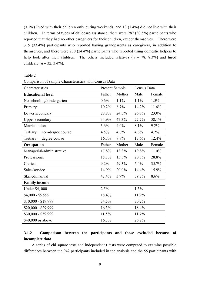(3.1%) lived with their children only during weekends, and 13 (1.4%) did not live with their children. In terms of types of childcare assistance, there were 287 (30.5%) participants who reported that they had no other caregivers for their children, except themselves. There were 315 (33.4%) participants who reported having grandparents as caregivers, in addition to themselves, and there were 230 (24.4%) participants who reported using domestic helpers to help look after their children. The others included relatives  $(n = 78, 8.3\%)$  and hired childcare  $(n = 32, 3.4\%)$ .

Table 2

|  |  |  | Comparison of sample Characteristics with Census Data |  |  |  |
|--|--|--|-------------------------------------------------------|--|--|--|
|--|--|--|-------------------------------------------------------|--|--|--|

| Characteristics                | Present Sample |        | Census Data |        |
|--------------------------------|----------------|--------|-------------|--------|
| <b>Educational level</b>       | Father         | Mother | Male        | Female |
| No schooling/kindergarten      | 0.6%           | 1.1%   | 1.1%        | 1.5%   |
| Primary                        | 10.2%          | 8.7%   | 14.2%       | 11.6%  |
| Lower secondary                | 28.8%          | 24.3%  | 26.8%       | 23.0%  |
| <b>Upper secondary</b>         | 34.9%          | 47.3%  | 27.7%       | 38.1%  |
| Matriculation                  | 3.6%           | 4.0%   | 8.1%        | 9.2%   |
| non-degree course<br>Tertiary: | 4.5%           | 4.6%   | 4.6%        | 4.2%   |
| Tertiary:<br>degree course     | 16.7%          | 9.7%   | 17.6%       | 12.4%  |
| Occupation                     | Father         | Mother | Male        | Female |
| Managerial/administrative      | 17.8%          | 13.3%  | 19.8%       | 11.0%  |
| Professional                   | 15.7%          | 13.5%  | 20.8%       | 28.8%  |
| Clerical                       | 9.2%           | 49.3%  | 5.4%        | 35.7%  |
| Sales/service                  | 14.9%          | 20.0%  | 14.4%       | 15.9%  |
| Skilled/manual                 | 42.4%          | 3.9%   | 39.7%       | 8.6%   |
| <b>Family income</b>           |                |        |             |        |
| Under \$4,000                  | 2.5%           |        | 1.5%        |        |
| \$4,000 - \$9,999              | 18.4%          |        | 11.9%       |        |
| $$10,000 - $19,999$            | 34.5%          |        | 30.2%       |        |
| \$20,000 - \$29,999            | 16.3%          |        | 18.4%       |        |
| \$30,000 - \$39,999            | 11.5%          |        | 11.7%       |        |
| \$40,000 or above              | 16.3%          |        | 26.2%       |        |

# **3.1.2 Comparison between the participants and those excluded because of incomplete data**

 A series of chi square tests and independent t tests were computed to examine possible differences between the 942 participants included in the analysis and the 55 participants with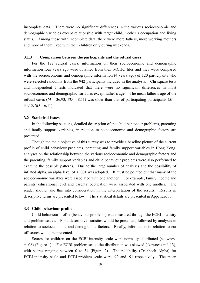incomplete data. There were no significant differences in the various socioeconomic and demographic variables except relationship with target child, mother's occupation and living status. Among those with incomplete data, there were more fathers, more working mothers and more of them lived with their children only during weekends.

### **3.1.3 Comparison between the participants and the refusal cases**

 For the 122 refusal cases, information on their socioeconomic and demographic information four years ago were obtained from their MCHC files and they were compared with the socioeconomic and demographic information (4 years ago) of 120 participants who were selected randomly from the 942 participants included in the analysis. Chi square tests and independent t tests indicated that there were no significant differences in most socioeconomic and demographic variables except father's age. The mean father's age of the refusal cases ( $M = 36.93$ ,  $SD = 8.11$ ) was older than that of participating participants ( $M =$  $34.15, SD = 6.11$ .

#### **3.2 Statistical issues**

 In the following sections, detailed description of the child behaviour problems, parenting and family support variables, in relation to socioeconomic and demographic factors are presented.

 Though the main objective of this survey was to provide a baseline picture of the current profile of child behaviour problems, parenting and family support variables in Hong Kong, analyses on the relationship between the various socioeconomic and demographic factors and the parenting, family support variables and child behaviour problems were also performed to examine the possible patterns. Due to the large number of analyses and the possibility of inflated alpha, an alpha level of < .001 was adopted. It must be pointed out that many of the socioeconomic variables were associated with one another. For example, family income and parents' educational level and parents' occupation were associated with one another. The reader should take this into consideration in the interpretation of the results. Results in descriptive terms are presented below. The statistical details are presented in Appendix 1.

#### **3.3 Child behaviour profile**

 Child behaviour profile (behaviour problems) was measured through the ECBI intensity and problem scales. First, descriptive statistics would be presented, followed by analyses in relation to socioeconomic and demographic factors. Finally, information in relation to cut off scores would be presented.

 Scores for children on the ECBI-intensity scale were normally distributed (skewness  $= .08$ ) (Figure 1). For ECBI-problem scale, the distribution was skewed (skewness  $= 1.13$ ), with scores ranging between 0 to 34 (Figure 2). The reliability (Cronbach Alpha) for ECBI-intensity scale and ECBI-problem scale were .92 and .91 respectively. The mean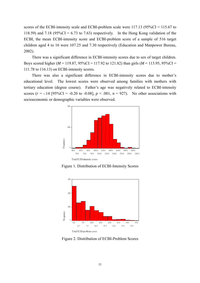scores of the ECBI-intensity scale and ECBI-problem scale were 117.13 (95%CI = 115.67 to 118.59) and 7.18 (95%CI = 6.73 to 7.63) respectively. In the Hong Kong validation of the ECBI, the mean ECBI-intensity score and ECBI-problem score of a sample of 516 target children aged 4 to 16 were 107.25 and 7.30 respectively (Education and Manpower Bureau, 2002).

 There was a significant difference in ECBI-intensity scores due to sex of target children. Boys scored higher ( $M = 119.87$ ,  $95\%CI = 117.92$  to 121.82) than girls ( $M = 113.95$ ,  $95\%CI =$ 111.78 to 116.13) on ECBI-intensity scores.

 There was also a significant difference in ECBI-intensity scores due to mother's educational level. The lowest scores were observed among families with mothers with tertiary education (degree course). Father's age was negatively related to ECBI-intensity scores  $(r = -14 \text{ [95%CI} = -0.20 \text{ to } -0.08], p < .001, n = 927)$ . No other associations with socioeconomic or demographic variables were observed.



Figure 1. Distribution of ECBI-Intensity Scores



Figure 2. Distribution of ECBI-Problem Scores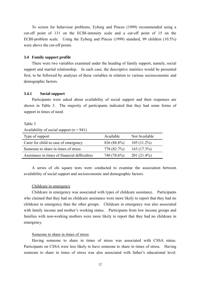To screen for behaviour problems, Eyberg and Pincus (1999) recommended using a cut-off point of 131 on the ECBI-intensity scale and a cut-off point of 15 on the ECBI-problem scale. Using the Eyberg and Pincus (1999) standard, 99 children (10.5%) were above the cut-off points.

#### **3.4 Family support profile**

 There were two variables examined under the heading of family support, namely, social support and marital relationship. In each case, the descriptive statistics would be presented first, to be followed by analyses of these variables in relation to various socioeconomic and demographic factors.

### **3.4.1 Social support**

 Participants were asked about availability of social support and their responses are shown in Table 3. The majority of participants indicated that they had some forms of support in times of need.

#### Table 3

Availability of social support  $(n = 941)$ 

| Type of support                               | Available   | Not Available |
|-----------------------------------------------|-------------|---------------|
| Carer for child in case of emergency          | 836 (88.8%) | $105(11.2\%)$ |
| Someone to share in times of stress           | 778 (82.7%) | 163(17.3%)    |
| Assistance in times of financial difficulties | 740 (78.6%) | $201(21.4\%)$ |

 A series of chi square tests were conducted to examine the association between availability of social support and socioeconomic and demographic factors.

#### Childcare in emergency

 Childcare in emergency was associated with types of childcare assistance. Participants who claimed that they had no childcare assistance were more likely to report that they had no childcare in emergency than the other groups. Childcare in emergency was also associated with family income and mother's working status. Participants from low income groups and families with non-working mothers were more likely to report that they had no childcare in emergency.

#### Someone to share in times of stress

 Having someone to share in times of stress was associated with CSSA status. Participants on CSSA were less likely to have someone to share in times of stress. Having someone to share in times of stress was also associated with father's educational level.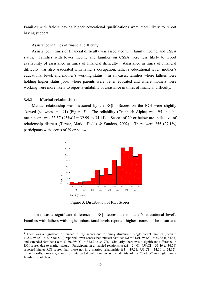Families with fathers having higher educational qualifications were more likely to report having support.

#### Assistance in times of financial difficulty

 Assistance in times of financial difficulty was associated with family income, and CSSA status. Families with lower income and families on CSSA were less likely to report availability of assistance in times of financial difficulty. Assistance in times of financial difficulty was also associated with father's occupation, father's educational level, mother's educational level, and mother's working status. In all cases, families where fathers were holding higher status jobs, where parents were better educated and where mothers were working were more likely to report availability of assistance in times of financial difficulty.

### **3.4.2 Marital relationship**

 $\overline{a}$ 

 Marital relationship was measured by the RQI. Scores on the RQI were slightly skewed (skewness  $= -0.91$ ) (Figure 3). The reliability (Cronbach Alpha) was 0.95 and the mean score was  $33.57 (95\%CI = 32.99$  to  $34.14$ ). Scores of 29 or below are indicative of relationship distress (Turner, Markie-Dadds & Sanders, 2002). There were 255 (27.1%) participants with scores of 29 or below.



Figure 3. Distribution of RQI Scores

There was a significant difference in RQI scores due to father's educational level<sup>2</sup>. Families with fathers with higher educational levels reported higher scores. The mean and

<sup>&</sup>lt;sup>2</sup> There was a significant difference in RQI scores due to family structure. Single parent families (mean  $=$ 11.82, 95%CI = 8.35 to15.30) reported lower scores than nuclear families (*M* = 34.01, 95%CI = 33.38 to 34.63) and extended families ( $M = 33.80$ ,  $95\%CI = 32.62$  to 34.97). Similarly, there was a significant difference in RQI scores due to marital status. Participants in a married relationship  $(M = 34.01, 95\% \text{CI} = 33.46$  to 34.56) reported higher RQI scores than those not in a married relationship  $(M = 19.21, 95\% \text{CI} = 14.30$  to 24.12). These results, however, should be interpreted with caution as the identity of the "partner" in single parent families is not clear.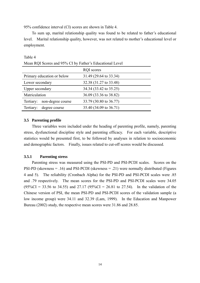95% confidence interval (CI) scores are shown in Table 4.

 To sum up, marital relationship quality was found to be related to father's educational level. Marital relationship quality, however, was not related to mother's educational level or employment.

|                 | Mean ROI Scores and 95% CI by Father's Equeational Level |                        |  |
|-----------------|----------------------------------------------------------|------------------------|--|
|                 |                                                          | <b>RQI</b> scores      |  |
|                 | Primary education or below                               | 31.49 (29.64 to 33.34) |  |
| Lower secondary |                                                          | 32.38 (31.27 to 33.48) |  |
| Upper secondary |                                                          | 34.34 (33.42 to 35.25) |  |
| Matriculation   |                                                          | 36.09 (33.36 to 38.82) |  |
| Tertiary:       | non-degree course                                        | 33.79 (30.80 to 36.77) |  |
| Tertiary:       | degree course                                            | 35.40 (34.09 to 36.71) |  |

Mean RQI Scores and 95% CI by Father's Educational Level

### **3.5 Parenting profile**

Table 4

Three variables were included under the heading of parenting profile, namely, parenting stress, dysfunctional discipline style and parenting efficacy. For each variable, descriptive statistics would be presented first, to be followed by analyses in relation to socioeconomic and demographic factors. Finally, issues related to cut-off scores would be discussed.

### **3.5.1 Parenting stress**

 Parenting stress was measured using the PSI-PD and PSI-PCDI scales. Scores on the PSI-PD (skewness = .16) and PSI-PCDI (skewness = .21) were normally distributed (Figures 4 and 5). The reliability (Cronbach Alpha) for the PSI-PD and PSI-PCDI scales were .85 and .79 respectively. The mean scores for the PSI-PD and PSI-PCDI scales were 34.05  $(95\%CI = 33.56$  to 34.55) and 27.17  $(95\%CI = 26.81$  to 27.54). In the validation of the Chinese version of PSI, the mean PSI-PD and PSI-PCDI scores of the validation sample (a low income group) were 34.11 and 32.39 (Lam, 1999). In the Education and Manpower Bureau (2002) study, the respective mean scores were 31.86 and 28.85.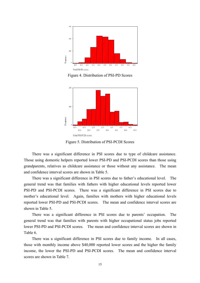

Figure 4. Distribution of PSI-PD Scores



Figure 5. Distribution of PSI-PCDI Scores

 There was a significant difference in PSI scores due to type of childcare assistance. Those using domestic helpers reported lower PSI-PD and PSI-PCDI scores than those using grandparents, relatives as childcare assistance or those without any assistance. The mean and confidence interval scores are shown in Table 5.

 There was a significant difference in PSI scores due to father's educational level. The general trend was that families with fathers with higher educational levels reported lower PSI-PD and PSI-PCDI scores. There was a significant difference in PSI scores due to mother's educational level. Again, families with mothers with higher educational levels reported lower PSI-PD and PSI-PCDI scores. The mean and confidence interval scores are shown in Table 5.

 There was a significant difference in PSI scores due to parents' occupation. The general trend was that families with parents with higher occupational status jobs reported lower PSI-PD and PSI-PCDI scores. The mean and confidence interval scores are shown in Table 6.

 There was a significant difference in PSI scores due to family income. In all cases, those with monthly income above \$40,000 reported lower scores and the higher the family income, the lower the PSI-PD and PSI-PCDI scores. The mean and confidence interval scores are shown in Table 7.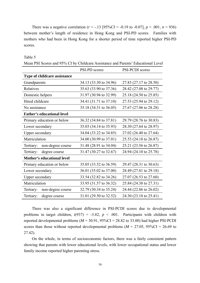There was a negative correlation ( $r = -.13$  [95%CI = -0.19 to -0.07],  $p < .001$ ,  $n = 936$ ) between mother's length of residence in Hong Kong and PSI-PD scores. Families with mothers who had been in Hong Kong for a shorter period of time reported higher PSI-PD scores.

#### Table 5

| Mean PSI Scores and 95% CI by Childcare Assistance and Parents' Educational Level |  |
|-----------------------------------------------------------------------------------|--|
|-----------------------------------------------------------------------------------|--|

|                                     | PSI-PD scores          | PSI-PCDI scores        |
|-------------------------------------|------------------------|------------------------|
| <b>Type of childcare assistance</b> |                        |                        |
| Grandparents                        | 34.13 (33.30 to 34.96) | 27.83 (27.17 to 28.50) |
| Relatives                           | 35.63 (33.90 to 37.36) | 28.42 (27.08 to 29.77) |
| Domestic helpers                    | 31.97 (30.94 to 32.99) | 25.18 (24.50 to 25.85) |
| Hired childcare                     | 34.41 (31.71 to 37.10) | 27.53 (25.94 to 29.12) |
| No assistance                       | 35.18 (34.31 to 36.05) | 27.67 (27.06 to 28.28) |
| <b>Father's educational level</b>   |                        |                        |
| Primary education or below          | 36.32 (34.84 to 37.81) | 29.79 (28.76 to 30.83) |
| Lower secondary                     | 35.03 (34.14 to 35.93) | 28.30 (27.64 to 28.97) |
| <b>Upper secondary</b>              | 34.04 (33.22 to 34.85) | 27.02 (26.40 to 27.64) |
| Matriculation                       | 34.00 (30.99 to 37.01) | 25.53 (24.18 to 26.87) |
| non-degree course<br>Tertiary:      | 31.48 (28.91 to 34.04) | 25.21 (23.56 to 26.87) |
| Tertiary:<br>degree course          | 31.47 (30.27 to 32.67) | 24.94 (24.10 to 25.78) |
| <b>Mother's educational level</b>   |                        |                        |
| Primary education or below          | 35.05 (33.52 to 36.59) | 29.47 (28.31 to 30.63) |
| Lower secondary                     | 36.01 (35.02 to 37.00) | 28.49 (27.81 to 29.18) |
| <b>Upper secondary</b>              | 33.54 (32.82 to 34.26) | 27.07 (26.53 to 27.60) |
| Matriculation                       | 33.95 (31.57 to 36.32) | 25.84 (24.38 to 27.31) |
| Tertiary:<br>non-degree course      | 32.79 (30.34 to 35.24) | 24.44 (22.86 to 26.02) |
| Tertiary:<br>degree course          | 31.01 (29.50 to 32.52) | 24.30 (23.18 to 25.41) |

 There was also a significant difference in PSI-PCDI scores due to developmental problems in target children,  $t(937) = -3.82$ ,  $p < .001$ . Participants with children with reported developmental problems  $(M = 30.91, 95\% \text{CI} = 28.82 \text{ to } 33.00)$  had higher PSI-PCDI scores than those without reported developmental problems ( $M = 27.05$ ,  $95\%CI = 26.69$  to 27.42).

 On the whole, in terms of socioeconomic factors, there was a fairly consistent pattern showing that parents with lower educational levels, with lower occupational status and lower family income reported higher parenting stress.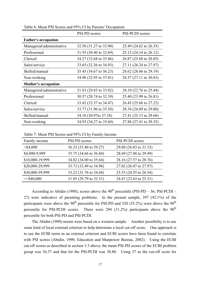|                            | <b>PSI-PD</b> scores   | PSI-PCDI scores        |
|----------------------------|------------------------|------------------------|
| <b>Father's occupation</b> |                        |                        |
| Managerial/administrative  | 32.58 (31.27 to 33.90) | 25.49 (24.62 to 26.35) |
| Professional               | 31.55 (30.40 to 32.69) | 25.13 (24.14 to 26.12) |
| Clerical                   | 34.27 (32.68 to 35.86) | 26.87 (25.68 to 28.05) |
| Sales/service              | 33.65 (32.36 to 34.93) | 27.11 (26.24 to 27.97) |
| Skilled/manual             | 35.45 (34.67 to 36.23) | 28.62 (28.06 to 29.19) |
| Non-working                | 34.98 (32.95 to 37.01) | 28.57 (27.11 to 30.03) |
| <b>Mother's occupation</b> |                        |                        |
| Managerial/administrative  | 31.83 (29.83 to 33.82) | 24.10 (22.76 to 25.44) |
| Professional               | 30.57 (28.74 to 32.39) | 25.40 (23.99 to 26.81) |
| Clerical                   | 33.42 (32.37 to 34.47) | 26.45 (25.68 to 27.22) |
| Sales/service              | 33.77 (31.96 to 35.58) | 28.34 (26.89 to 29.80) |
| Skilled/manual             | 34.18 (30.97to 37.38)  | 27.41 (25.15 to 29.68) |
| Non-working                | 34.93 (34.27 to 35.60) | 27.88 (27.41 to 28.35) |

Table 6: Mean PSI Scores and 95% CI by Parents' Occupation

Table 7: Mean PSI Scores and 95% CI by Family Income

| Family income   | PSI-PD scores          | PSI-PCDI scores        |
|-----------------|------------------------|------------------------|
| $<$ \$4,000     | 36.33 (33.40 to 39.27) | 29.08 (26.83 to 31.33) |
| \$4,000-9,999   | 35.75 (34.66 to 36.84) | 28.69 (27.88 to 29.49) |
| \$10,000-19,999 | 34.82 (34.00 to 35.64) | 28.16 (27.57 to 28.76) |
| \$20,000-29,999 | 33.73 (32.49 to 34.98) | 27.02 (26.07 to 27.97) |
| \$30,000-39,999 | 33.22 (31.76 to 34.68) | 25.55 (24.55 to 26.54) |
| $>=$ \$40,000   | 31.05 (29.79 to 32.31) | 24.47 (23.63 to 25.31) |

According to Abidin (1990), scores above the  $90<sup>th</sup>$  percentile (PSI-PD – 36; PSI-PCDI – 27) were indicative of parenting problems. In the present sample, 397 (42.1%) of the participants were above the  $90<sup>th</sup>$  percentile for PSI-PD and 520 (55.2%) were above the  $90<sup>th</sup>$ percentile for PSI-PCDI scores. There were 294 (31.2%) participants above the  $90<sup>th</sup>$ percentile for both PSI-PD and PSI-PCDI.

 The Abidin (1990) norms were based on a western sample. Another possibility is to use some kind of local external criterion to help determine a local cut-off score. One approach is to use the ECBI norm as an external criterion and ECBI scores have been found to correlate with PSI scores (Abidin, 1990; Education and Manpower Bureau, 2002). Using the ECBI cut-off scores as described in section 3.3 above, the mean PSI-PD scores of the ECBI problem group was 36.37 and that for the PSI-PCDI was 30.80. Using 37 as the cut-off score for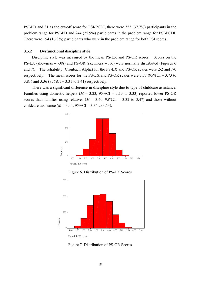PSI-PD and 31 as the cut-off score for PSI-PCDI, there were 355 (37.7%) participants in the problem range for PSI-PD and 244 (25.9%) participants in the problem range for PSI-PCDI. There were 154 (16.3%) participants who were in the problem range for both PSI scores.

### **3.5.2 Dysfunctional discipline style**

 Discipline style was measured by the mean PS-LX and PS-OR scores. Scores on the PS-LX (skewness  $= -0.08$ ) and PS-OR (skewness  $= 0.16$ ) were normally distributed (Figures 6 and 7). The reliability (Cronbach Alpha) for the PS-LX and PS-OR scales were .52 and .70 respectively. The mean scores for the PS-LX and PS-OR scales were  $3.77$  ( $95\%CI = 3.73$  to 3.81) and 3.36 (95%CI = 3.31 to 3.41) respectively.

 There was a significant difference in discipline style due to type of childcare assistance. Families using domestic helpers ( $M = 3.23$ , 95%CI = 3.13 to 3.33) reported lower PS-OR scores than families using relatives  $(M = 3.40, 95\% \text{CI} = 3.32 \text{ to } 3.47)$  and those without childcare assistance  $(M = 3.44, 95\% \text{CI} = 3.34 \text{ to } 3.53)$ .



Figure 6. Distribution of PS-LX Scores



Figure 7. Distribution of PS-OR Scores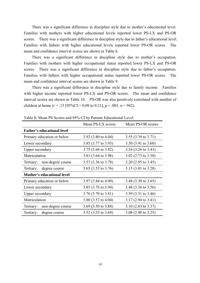There was a significant difference in discipline style due to mother's educational level. Families with mothers with higher educational levels reported lower PS-LX and PS-OR scores. There was a significant difference in discipline style due to father's educational level. Families with fathers with higher educational levels reported lower PS-OR scores. The mean and confidence interval scores are shown in Table 8.

 There was a significant difference in discipline style due to mother's occupation, Families with mothers with higher occupational status reported lower PS-LX and PS-OR scores. There was a significant difference in discipline style due to father's occupation. Families with fathers with higher occupational status reported lower PS-OR scores. The mean and confidence interval scores are shown in Table 9.

 There was a significant difference in discipline style due to family income. Families with higher income reported lower PS-LX and PS-OR scores. The mean and confidence interval scores are shown in Table 10. PS-OR was also positively correlated with number of children at home ( $r = .15$  [95%CI = 0.09 to 0.21],  $p < .001$ ,  $n = 942$ ).

|                                   | Mean PS-LX scores              | Mean PS-OR scores              |
|-----------------------------------|--------------------------------|--------------------------------|
| <b>Father's educational level</b> |                                |                                |
| Primary education or below        | 3.92 $(3.80 \text{ to } 4.04)$ | 3.55 $(3.39 \text{ to } 3.71)$ |
| Lower secondary                   | 3.85 (3.77 to 3.93)            | $3.50(3.41 \text{ to } 3.60)$  |
| Upper secondary                   | 3.75 (3.68 to 3.82)            | 3.34 $(3.26 \text{ to } 3.43)$ |
| Matriculation                     | 3.81 (3.64 to 3.98)            | 3.02 $(2.73 \text{ to } 3.30)$ |
| non-degree course<br>Tertiary:    | $3.57(3.36 \text{ to } 3.78)$  | $3.20(2.95 \text{ to } 3.45)$  |
| Tertiary:<br>degree course        | 3.65 $(3.53 \text{ to } 3.76)$ | $3.15(3.01 \text{ to } 3.28)$  |
| Mother's educational level        |                                |                                |
| Primary education or below        | 3.97 $(3.84 \text{ to } 4.09)$ | 3.48 (3.30 to 3.65)            |
| Lower secondary                   | 3.85 (3.76 to 3.94)            | 3.46 (3.36 to 3.56)            |
| Upper secondary                   | $3.76(3.70 \text{ to } 3.81)$  | 3.39 (3.31 to 3.46)            |
| Matriculation                     | 3.80 (3.57 to 4.04)            | $3.17(2.94 \text{ to } 3.41)$  |
| non-degree course<br>Tertiary:    | 3.69 $(3.50 \text{ to } 3.88)$ | $3.10(2.83 \text{ to } 3.37)$  |
| Tertiary:<br>degree course        | 3.52 $(3.35 \text{ to } 3.69)$ | 3.08 $(2.90 \text{ to } 3.25)$ |

Table 8: Mean PS Scores and 95% CI by Parents Educational Level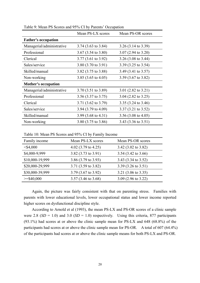|                            | Mean PS-LX scores              | Mean PS-OR scores              |
|----------------------------|--------------------------------|--------------------------------|
| <b>Father's occupation</b> |                                |                                |
| Managerial/administrative  | $3.74$ (3.63 to 3.84)          | $3.26$ (3.14 to 3.39)          |
| Professional               | $3.67$ (3.54 to 3.80)          | $3.07(2.94 \text{ to } 3.20)$  |
| Clerical                   | $3.77(3.61 \text{ to } 3.92)$  | 3.26 $(3.08 \text{ to } 3.44)$ |
| Sales/service              | 3.80 $(3.70 \text{ to } 3.91)$ | 3.39 (3.25 to 3.54)            |
| Skilled/manual             | 3.82 (3.75 to 3.88)            | 3.49 (3.41 to 3.57)            |
| Non-working                | 3.85 $(3.65 \text{ to } 4.05)$ | $3.59$ (3.67 to 3.82)          |
| <b>Mother's occupation</b> |                                |                                |
| Managerial/administrative  | 3.70 (3.51 to 3.89)            | 3.01 $(2.82 \text{ to } 3.21)$ |
| Professional               | 3.56 $(3.37 \text{ to } 3.75)$ | 3.04 $(2.82 \text{ to } 3.25)$ |
| Clerical                   | 3.71 (3.62 to 3.79)            | 3.35 $(3.24 \text{ to } 3.46)$ |
| Sales/service              | 3.94 (3.79 to 4.09)            | $3.37(3.21 \text{ to } 3.52)$  |
| Skilled/manual             | 3.99 $(3.68 \text{ to } 4.31)$ | 3.56 $(3.08 \text{ to } 4.05)$ |
| Non-working                | 3.80 $(3.75 \text{ to } 3.86)$ | 3.43 (3.36 to 3.51)            |

Table 9: Mean PS Scores and 95% CI by Parents' Occupation

Table 10: Mean PS Scores and 95% CI by Family Income

| Family income   | Mean PS-LX scores              | Mean PS-OR scores              |
|-----------------|--------------------------------|--------------------------------|
| $<$ \$4,000     | 4.02 $(3.79 \text{ to } 4.25)$ | 3.42 (3.02 to 3.82)            |
| \$4,000-9,999   | 3.82 (3.73 to 3.91)            | 3.54 (3.42 to 3.66)            |
| \$10,000-19,999 | 3.86 (3.79 to 3.93)            | 3.43 (3.34 to 3.52)            |
| \$20,000-29,999 | 3.71 (3.59 to 3.82)            | 3.39 $(3.26 \text{ to } 3.51)$ |
| \$30,000-39,999 | 3.79 (3.67 to 3.92)            | 3.21 $(3.06 \text{ to } 3.35)$ |
| $>=$ \$40,000   | $3.57(3.46 \text{ to } 3.68)$  | 3.09 $(2.96 \text{ to } 3.22)$ |

 Again, the picture was fairly consistent with that on parenting stress. Families with parents with lower educational levels, lower occupational status and lower income reported higher scores on dysfunctional discipline style.

 According to Arnold et al (1993), the mean PS-LX and PS-OR scores of a clinic sample were 2.8  $(SD = 1.0)$  and 3.0  $(SD = 1.0)$  respectively. Using this criteria, 877 participants (93.1%) had scores at or above the clinic sample mean for PS-LX and 648 (68.8%) of the participants had scores at or above the clinic sample mean for PS-OR. A total of 607 (64.4%) of the participants had scores at or above the clinic sample means for both PS-LX and PS-OR.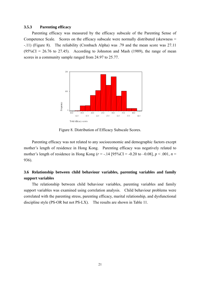### **3.5.3 Parenting efficacy**

 Parenting efficacy was measured by the efficacy subscale of the Parenting Sense of Competence Scale. Scores on the efficacy subscale were normally distributed (skewness = -.11) (Figure 8). The reliability (Cronbach Alpha) was .79 and the mean score was 27.11  $(95\%CI = 26.76$  to 27.45). According to Johnston and Mash (1989), the range of mean scores in a community sample ranged from 24.97 to 25.77.



Figure 8. Distribution of Efficacy Subscale Scores.

 Parenting efficacy was not related to any socioeconomic and demographic factors except mother's length of residence in Hong Kong. Parenting efficacy was negatively related to mother's length of residence in Hong Kong ( $r = -14$  [95%CI = -0.20 to -0.08],  $p < .001$ ,  $n =$ 936).

# **3.6 Relationship between child behaviour variables, parenting variables and family support variables**

 The relationship between child behaviour variables, parenting variables and family support variables was examined using correlation analysis. Child behaviour problems were correlated with the parenting stress, parenting efficacy, marital relationship, and dysfunctional discipline style (PS-OR but not PS-LX). The results are shown in Table 11.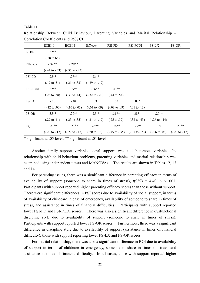#### Table 11

Relationship Between Child Behaviour, Parenting Variables and Marital Relationship – Correlation Coefficients and 95% CI

|            | ECBI-I                    | ECBI-P                                              | Efficacy                   | PSI-PD                   | PSI-PCDI                                                                     | PS-LX                      | PS-OR                      |
|------------|---------------------------|-----------------------------------------------------|----------------------------|--------------------------|------------------------------------------------------------------------------|----------------------------|----------------------------|
| ECBI-P     | $.62**$                   |                                                     |                            |                          |                                                                              |                            |                            |
|            | $(.58 \text{ to}.66)$     |                                                     |                            |                          |                                                                              |                            |                            |
| Efficacy   | $-.39**$                  | $-0.29**$                                           |                            |                          |                                                                              |                            |                            |
|            | $(-.44 \text{ to } -.33)$ | $(-.35 \text{ to } -.23)$                           |                            |                          |                                                                              |                            |                            |
| PSI-PD     | $.25**$                   | $.27**$                                             | $-23**$                    |                          |                                                                              |                            |                            |
|            | $(.19 \text{ to } .31)$   | $(.21 \text{ to } .33)$                             | $(-.29 \text{ to } -0.17)$ |                          |                                                                              |                            |                            |
| PSI-PCDI   | $.32**$                   | $.39**$                                             | $-26**$                    | $.49**$                  |                                                                              |                            |                            |
|            | $(.26 \text{ to } .38)$   | $(.33 \text{ to } .44)$                             | $(-.32 \text{ to } -.20)$  | $(.44 \text{ to } .54)$  |                                                                              |                            |                            |
| PS-LX      | $-.06$                    | $-.04$                                              | .03                        | .03                      | $.07*$                                                                       |                            |                            |
|            | $(-.12 \text{ to } .00)$  | $(-.10 \text{ to } .02)$                            | $(-.03 \text{ to } .09)$   | $(-.03 \text{ to } .09)$ | $(.01 \text{ to } .13)$                                                      |                            |                            |
| PS-OR      | $.35**$                   | $.29**$                                             | $-25**$                    | $31**$                   | $.38**$                                                                      | $-.20**$                   |                            |
|            | $(.29 \text{ to } .41)$   | $(.23 \text{ to } .35)$                             | $(-.31 \text{ to } -.19)$  | $(.25 \text{ to } .37)$  | $(.32 \text{ to } .43)$                                                      | $(-.26 \text{ to } -0.14)$ |                            |
| <b>RQI</b> | $-0.23**$                 | $-21**$                                             | $.26**$                    | $-40**$                  | $-29**$                                                                      | $-0.00$                    | $-0.23**$                  |
|            |                           | $(-.29 \text{ to } -.17)$ $(-.27 \text{ to } -.15)$ | $(.20 \text{ to } .32)$    |                          | $(-.45 \text{ to } -.35)$ $(-.35 \text{ to } -.23)$ $(-.06 \text{ to } .06)$ |                            | $(-.29 \text{ to } -0.17)$ |

\* significant at .05 level; \*\* significant at .01 level

 Another family support variable, social support, was a dichotomous variable. Its relationship with child behaviour problems, parenting variables and marital relationship was examined using independent t tests and MANOVAs. The results are shown in Tables 12, 13 and 14.

 For parenting issues, there was a significant difference in parenting efficacy in terms of availability of support (someone to share in times of stress),  $t(939) = 4.40$ ,  $p < .001$ . Participants with support reported higher parenting efficacy scores than those without support. There were significant differences in PSI scores due to availability of social support, in terms of availability of childcare in case of emergency, availability of someone to share in times of stress, and assistance in times of financial difficulties. Participants with support reported lower PSI-PD and PSI-PCDI scores. There was also a significant difference in dysfunctional discipline style due to availability of support (someone to share in times of stress). Participants with support reported lower PS-OR scores. Furthermore, there was a significant difference in discipline style due to availability of support (assistance in times of financial difficulty), those with support reporting lower PS-LX and PS-OR scores.

 For marital relationship, there was also a significant difference in RQI due to availability of support in terms of childcare in emergency, someone to share in times of stress, and assistance in times of financial difficulty. In all cases, those with support reported higher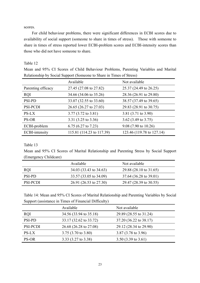scores.

 For child behaviour problems, there were significant differences in ECBI scores due to availability of social support (someone to share in times of stress). Those with someone to share in times of stress reported lower ECBI-problem scores and ECBI-intensity scores than those who did not have someone to share.

### Table 12

Mean and 95% CI Scores of Child Behaviour Problems, Parenting Variables and Marital Relationship by Social Support (Someone to Share in Times of Stress)

|                       | Available                     | Not available                  |
|-----------------------|-------------------------------|--------------------------------|
| Parenting efficacy    | 27.45 (27.08 to 27.82)        | 25.37 (24.49 to 26.25)         |
| <b>RQI</b>            | 34.66 (34.06 to 35.26)        | 28.36 (26.91 to 29.80)         |
| <b>PSI-PD</b>         | 33.07 (32.55 to 33.60)        | 38.57 (37.49 to 39.65)         |
| <b>PSI-PCDI</b>       | 26.65 (26.27 to 27.03)        | 29.83 (28.91 to 30.75)         |
| PS-LX                 | $3.77(3.72 \text{ to } 3.81)$ | 3.81 (3.71 to 3.90)            |
| PS-OR                 | 3.31 (3.25 to 3.36)           | 3.62 $(3.49 \text{ to } 3.75)$ |
| ECBI-problem          | $6.75(6.27 \text{ to } 7.23)$ | $9.08(7.90 \text{ to } 10.26)$ |
| <b>ECBI-intensity</b> | 115.81 (114.23 to 117.39)     | 123.46 (119.78 to 127.14)      |

### Table 13

Mean and 95% CI Scores of Marital Relationship and Parenting Stress by Social Support (Emergency Childcare)

|            | Available              | Not available          |
|------------|------------------------|------------------------|
| <b>ROI</b> | 34.03 (33.43 to 34.63) | 29.88 (28.10 to 31.65) |
| PSI-PD     | 33.57 (33.05 to 34.09) | 37.64 (36.28 to 39.01) |
| PSI-PCDI   | 26.91 (26.53 to 27.30) | 29.47 (28.39 to 30.55) |

Table 14: Mean and 95% CI Scores of Marital Relationship and Parenting Variables by Social Support (assistance in Times of Financial Difficulty)

|                 | Available                     | Not available                  |
|-----------------|-------------------------------|--------------------------------|
| <b>RQI</b>      | 34.56 (33.94 to 35.18)        | 29.89 (28.55 to 31.24)         |
| <b>PSI-PD</b>   | 33.17 (32.62 to 33.72)        | 37.20 (36.22 to 38.17)         |
| <b>PSI-PCDI</b> | 26.68 (26.28 to 27.08)        | 29.12 (28.34 to 29.90)         |
| <b>PS-LX</b>    | $3.75(3.70 \text{ to } 3.80)$ | 3.87 $(3.78 \text{ to } 3.96)$ |
| <b>PS-OR</b>    | 3.33 (3.27 to 3.38)           | $3.50(3.39 \text{ to } 3.61)$  |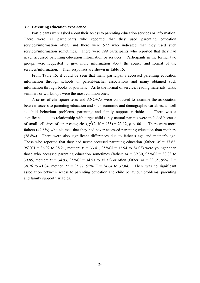#### **3.7 Parenting education experience**

 Participants were asked about their access to parenting education services or information. There were 71 participants who reported that they used parenting education services/information often, and there were 572 who indicated that they used such services/information sometimes. There were 299 participants who reported that they had never accessed parenting education information or services. Participants in the former two groups were requested to give more information about the source and format of the services/information. Their responses are shown in Table 15.

 From Table 15, it could be seen that many participants accessed parenting education information through schools or parent-teacher associations and many obtained such information through books or journals. As to the format of service, reading materials, talks, seminars or workshops were the most common ones.

 A series of chi square tests and ANOVAs were conducted to examine the association between access to parenting education and socioeconomic and demographic variables, as well as child behaviour problems, parenting and family support variables. There was a significance due to relationship with target child (only natural parents were included because of small cell sizes of other categories),  $\chi^2(2, N = 935) = 23.12$ ,  $p < .001$ . There were more fathers (49.6%) who claimed that they had never accessed parenting education than mothers (28.8%). There were also significant differences due to father's age and mother's age. Those who reported that they had never accessed parenting education (father:  $M = 37.62$ , 95%CI = 36.92 to 38.21, mother:  $M = 33.41$ , 95%CI = 32.94 to 34.03) were younger than those who accessed parenting education sometimes (father:  $M = 39.30, 95\% \text{CI} = 38.83$  to 39.85, mother: *M* = 34.93, 95%CI = 34.53 to 35.32) or often (father: *M* = 39.65, 95%CI = 38.26 to 41.04, mother:  $M = 35.77$ ,  $95\%CI = 34.64$  to 37.04). There was no significant association between access to parenting education and child behaviour problems, parenting and family support variables.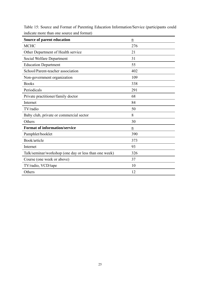| Source of parent education                            | $\underline{n}$ |
|-------------------------------------------------------|-----------------|
| <b>MCHC</b>                                           | 276             |
| Other Department of Health service                    | 21              |
| Social Welfare Department                             | 31              |
| <b>Education Department</b>                           | 55              |
| School/Parent-teacher association                     | 402             |
| Non-government organization                           | 109             |
| <b>Books</b>                                          | 338             |
| Periodicals                                           | 291             |
| Private practitioner/family doctor                    | 68              |
| Internet                                              | 84              |
| TV/radio                                              | 50              |
| Baby club, private or commercial sector               | 8               |
| Others                                                | 30              |
| <b>Format of information/service</b>                  | n               |
| Pamphlet/booklet                                      | 390             |
| Book/article                                          | 373             |
| Internet                                              | 93              |
| Talk/seminar/workshop (one day or less than one week) | 326             |
| Course (one week or above)                            | 37              |
| TV/radio, VCD/tape                                    | 10              |
| Others                                                | 12              |

Table 15: Source and Format of Parenting Education Information/Service (participants could indicate more than one source and format)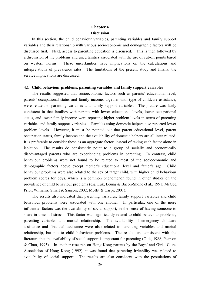# **Chapter 4 Discussion**

 In this section, the child behaviour variables, parenting variables and family support variables and their relationship with various socioeconomic and demographic factors will be discussed first. Next, access to parenting education is discussed. This is then followed by a discussion of the problems and uncertainties associated with the use of cut-off points based on western norms. These uncertainties have implications on the calculations and interpretations of prevalence rates. The limitations of the present study and finally, the service implications are discussed.

#### **4.1 Child behaviour problems, parenting variables and family support variables**

 The results suggested that socioeconomic factors such as parents' educational level, parents' occupational status and family income, together with type of childcare assistance, were related to parenting variables and family support variables. The picture was fairly consistent in that families with parents with lower educational levels, lower occupational status, and lower family income were reporting higher problem levels in terms of parenting variables and family support variables. Families using domestic helpers also reported lower problem levels. However, it must be pointed out that parent educational level, parent occupation status, family income and the availability of domestic helpers are all inter-related. It is preferable to consider these as an aggregate factor, instead of taking each factor alone in isolation. The results do consistently point to a group of socially and economically disadvantaged parents who are experiencing problems in parenting. In contrast, child behaviour problems were not found to be related to most of the socioeconomic and demographic factors above except mother's educational level and father's age. Child behaviour problems were also related to the sex of target child, with higher child behaviour problem scores for boys, which is a common phenomenon found in other studies on the prevalence of child behaviour problems (e.g. Luk, Leung & Bacon-Shone et al., 1991; McGee, Prior, Williams, Smart & Sanson, 2002; Moffit & Caspi, 2001).

 The results also indicated that parenting variables, family support variables and child behaviour problems were associated with one another. In particular, one of the more influential factors was the availability of social support, in the sense of having someone to share in times of stress. This factor was significantly related to child behaviour problems, parenting variables and marital relationship. The availability of emergency childcare assistance and financial assistance were also related to parenting variables and marital relationship, but not to child behaviour problems. The results are consistent with the literature that the availability of social support is important for parenting (Olds, 1988; Pearson & Chan, 1993). In another research on Hong Kong parents by the Boys' and Girls' Clubs Association of Hong Kong (1992), it was found that parenting irritability was related to availability of social support. The results are also consistent with the postulations of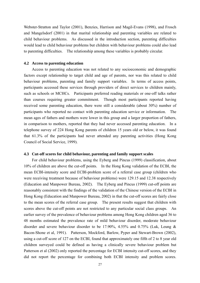Webster-Stratton and Taylor (2001), Benzies, Harrison and Magil-Evans (1998), and Frosch and Mangelsdorf (2001) in that marital relationship and parenting variables are related to child behaviour problems. As discussed in the introduction section, parenting difficulties would lead to child behaviour problems but children with behaviour problems could also lead to parenting difficulties. The relationship among these variables is probably circular.

#### **4.2 Access to parenting education**

 Access to parenting education was not related to any socioeconomic and demographic factors except relationship to target child and age of parents, nor was this related to child behaviour problems, parenting and family support variables. In terms of access points, participants accessed these services through providers of direct services to children mainly, such as schools or MCHCs. Participants preferred reading materials or one-off talks rather than courses requiring greater commitment. Though most participants reported having received some parenting education, there were still a considerable (about 30%) number of participants who reported no contact with parenting education service or information. The mean ages of fathers and mothers were lower in this group and a larger proportion of fathers, in comparison to mothers, reported that they had never accessed parenting education. In a telephone survey of 224 Hong Kong parents of children 15 years old or below, it was found that 61.3% of the participants had never attended any parenting activities (Hong Kong Council of Social Service, 1999).

#### **4.3 Cut-off scores for child behaviour, parenting and family support scales**

 For child behaviour problems, using the Eyberg and Pincus (1999) classification, about 10% of children are above the cut-off points. In the Hong Kong validation of the ECBI, the mean ECBI-intensity score and ECBI-problem score of a referral case group (children who were receiving treatment because of behaviour problems) were 129.15 and 12.38 respectively (Education and Manpower Bureau, 2002). The Eyberg and Pincus (1999) cut-off points are reasonably consistent with the findings of the validation of the Chinese version of the ECBI in Hong Kong (Education and Manpower Bureau, 2002) in that the cut-off scores are fairly close to the mean scores of the referral case group. The present results suggest that children with scores above the cut-off points are not restricted to any particular social class groups. An earlier survey of the prevalence of behaviour problems among Hong Kong children aged 36 to 48 months estimated the prevalence rate of mild behaviour disorder, moderate behaviour disorder and severe behaviour disorder to be 17.90%, 4.55% and 0.75% (Luk, Leung & Bacon-Shone et al, 1991). Patterson, Mockford, Barlow, Pyper and Stewart-Brown (2002), using a cut-off score of 127 on the ECBI, found that approximately one fifth of 2 to 8 year old children surveyed could be defined as having a clinically severe behaviour problem but Patterson et al (2002) only reported the percentage for ECBI intensity cut-off scores, and they did not report the percentage for combining both ECBI intensity and problem scores.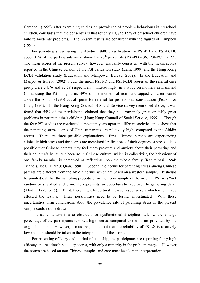Campbell (1995), after examining studies on prevalence of problem behaviours in preschool children, concludes that the consensus is that roughly 10% to 15% of preschool children have mild to moderate problems. The present results are consistent with the figures of Campbell (1995).

 For parenting stress, using the Abidin (1990) classification for PSI-PD and PSI-PCDI, about 31% of the participants were above the  $90<sup>th</sup>$  percentile (PSI-PD - 36; PSI-PCDI - 27). The mean scores of the present survey, however, are fairly consistent with the means scores reported in the Chinese version of the PSI validation study (Lam, 1999) and the Hong Kong ECBI validation study (Education and Manpower Bureau, 2002). In the Education and Manpower Bureau (2002) study, the mean PSI-PD and PSI-PCDI scores of the referral case group were 34.76 and 32.58 respectively. Interestingly, in a study on mothers in mainland China using the PSI long form, 49% of the mothers of non-handicapped children scored above the Abidin (1990) cut-off point for referral for professional consultation (Pearson & Chan, 1993). In the Hong Kong Council of Social Service survey mentioned above, it was found that 55% of the participants claimed that they had extremely great or fairly great problems in parenting their children (Hong Kong Council of Social Service, 1999). Though the four PSI studies are conducted almost ten years apart in different societies, they show that the parenting stress scores of Chinese parents are relatively high, compared to the Abidin norms. There are three possible explanations. First, Chinese parents are experiencing clinically high stress and the scores are meaningful reflections of their degrees of stress. It is possible that Chinese parents may feel more pressure and anxiety about their parenting and their children's behaviour because in Chinese culture, which is collectivist, the behaviour of one family member is perceived as reflecting upon the whole family (Kagitcibasi, 1994; Triandis, 1990; Blair & Qian, 1998). Second, the norms for parenting stress among Chinese parents are different from the Abidin norms, which are based on a western sample. It should be pointed out that the sampling procedure for the norm sample of the original PSI was "not random or stratified and primarily represents an opportunistic approach to gathering data" (Abidin, 1990, p.25). Third, there might be culturally based response sets which might have affected the results. These possibilities need to be further investigated. With these uncertainties, firm conclusions about the prevalence rate of parenting stress in the present sample could not be drawn.

 The same pattern is also observed for dysfunctional discipline style, where a large percentage of the participants reported high scores, compared to the norms provided by the original authors. However, it must be pointed out that the reliability of PS-LX is relatively low and care should be taken in the interpretation of the scores.

 For parenting efficacy and marital relationship, the participants are reporting fairly high efficacy and relationship quality scores, with only a minority in the problem range. However, the norms are based on non-Chinese samples and care must be taken in interpretation.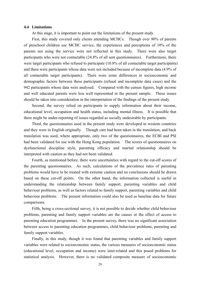#### **4.4 Limitations**

At this stage, it is important to point out the limitations of the present study.

 First, this study covered only clients attending MCHCs. Though over 90% of parents of preschool children use MCHC service, the experiences and perceptions of 10% of the parents not using the service were not reflected in this study. There were also target participants who were not contactable (24.8% of all sent questionnaires). Furthermore, there were target participants who refused to participate (10.8% of all contactable target participants) and there were participants whose data were not included because of incomplete data (4.9% of all contactable target participants). There were some differences in socioeconomic and demographic factors between these participants (refusal and incomplete data cases) and the 942 participants whose data were analysed. Compared with the census figures, high income and well educated parents were less well represented in the present sample. These issues should be taken into consideration in the interpretation of the findings of the present study.

 Second, the survey relied on participants to supply information about their income, educational level, occupation and health status, including mental illness. It is possible that there might be under-reporting of issues regarded as socially undesirable by participants.

 Third, the questionnaires used in the present study were developed in western countries and they were in English originally. Though care had been taken in the translation, and back translation was used, where appropriate, only two of the questionnaires, the ECBI and PSI had been validated for use with the Hong Kong population. The scores of questionnaires on dysfunctional discipline style, parenting efficacy and marital relationship should be interpreted with caution as they had not been validated.

 Fourth, as mentioned before, there were uncertainties with regard to the cut-off scores of the parenting questionnaires. As such, calculations of the prevalence rates of parenting problems would have to be treated with extreme caution and no conclusions should be drawn based on these cut-off points. On the other hand, the information collected is useful in understanding the relationship between family support, parenting variables and child behaviour problems, as well as factors related to family support, parenting variables and child behaviour problems. The present information could also be used as baseline data for future comparisons.

 Fifth, being a cross-sectional survey, it is not possible to decide whether child behaviour problems, parenting and family support variables are the causes or the effect of access to parenting education programmes. In the present survey, there was no significant association between access to parenting education programmes, child behaviour problems, parenting and family support variables.

 Finally, in this study, though it was found that parenting variables and family support variables were related to socioeconomic status, the various measures of socioeconomic status (educational level, occupation and income) were inter-related and this posed problems for statistical analysis. However, there is no validated composite measure of socioeconomic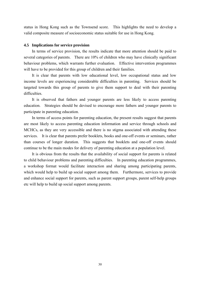status in Hong Kong such as the Townsend score. This highlights the need to develop a valid composite measure of socioeconomic status suitable for use in Hong Kong.

#### **4.5 Implications for service provision**

 In terms of service provision, the results indicate that more attention should be paid to several categories of parents. There are 10% of children who may have clinically significant behaviour problems, which warrants further evaluation. Effective intervention programmes will have to be provided for this group of children and their families.

 It is clear that parents with low educational level, low occupational status and low income levels are experiencing considerable difficulties in parenting. Services should be targeted towards this group of parents to give them support to deal with their parenting difficulties.

 It is observed that fathers and younger parents are less likely to access parenting education. Strategies should be devised to encourage more fathers and younger parents to participate in parenting education.

 In terms of access points for parenting education, the present results suggest that parents are most likely to access parenting education information and service through schools and MCHCs, as they are very accessible and there is no stigma associated with attending these services. It is clear that parents prefer booklets, books and one-off events or seminars, rather than courses of longer duration. This suggests that booklets and one-off events should continue to be the main modes for delivery of parenting education at a population level.

 It is obvious from the results that the availability of social support for parents is related to child behaviour problems and parenting difficulties. In parenting education programmes, a workshop format would facilitate interaction and sharing among participating parents, which would help to build up social support among them. Furthermore, services to provide and enhance social support for parents, such as parent support groups, parent self-help groups etc will help to build up social support among parents.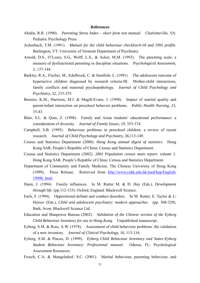#### **References**

- Abidin, R.R. (1990). *Parenting Stress Index short form test manual*. Charlotteville, VA: Pediatric Psychology Press.
- Achenbach, T.M. (1991). *Manual for the child behaviour checklist/4-18 and 1991 profile*. Burlington, VT: University of Vermont Department of Psychiatry.
- Arnold, D.S., O'Leary, S.G., Wolff, L.S., & Acker, M.M. (1993). The parenting scale: a measure of dysfunctional parenting in discipline situations. *Psychological Assessment, 5*, 137-144.
- Barkley, R.A., Fischer, M., Edelbrock, C. & Smallish, L. (1991). The adolescent outcome of hyperactive children diagnosed by research criteria-III. Mother-child interactions, family conflicts and maternal psychopathology. *Journal of Child Psychology and Psychiatry, 32*, 233-255.
- Benzies, K.M., Harrison, M.J. & Magill-Evans, J. (1998). Impact of marital quality and parent-infant interaction on preschool behavior problems. *Public Health Nursing, 15*, 35-43.
- Blair, S.L. & Qian, Z. (1998). Family and Asian students' educational performance: a consideration of diversity. *Journal of Family Issues, 19*, 353-374.
- Campbell, S.B. (1995). Behaviour problems in preschool children: a review of recent research. *Journal of Child Psychology and Psychiatry, 36,*113-149.
- Census and Statistics Department (2000). *Hong Kong annual digest of statistics*. Hong Kong SAR, People's Republic of China: Census and Statistics Department.
- Census and Statistics Department (2002). *2001 Population census main report- volume 1*. Hong Kong SAR, People's Republic of China: Census and Statistics Department.
- Department of Community and Family Medicine, The Chinese University of Hong Kong (1999). Press Release. Retrieved from http://www.cuhk.edu.hk/med/hep/English/ 1999b. html
- Dunn, J. (1994). Family influences. In M. Rutter M. & D. Hay (Eds.), *Development through life*. (pp.112-133). Oxford, England: Blackwell Science.
- Earls, F. (1994). Oppositional-defiant and conduct disorders. In M. Rutter, E. Taylor & L/ Hersov (Eds.), *Child and adolescent psychiatry: modern approaches*. (pp. 308-329). Bath, Avon: Blackwell Science Ltd.
- Education and Manpower Bureau (2002). *Validation of the Chinese version of the Eyberg Child Behaviour Inventory for use in Hong Kong*. Unpublished manuscript.
- Eyberg, S.M. & Ross, A.W. (1978). Assessment of child behaviour problems: the validation of a new inventory. *Journal of Clinical Psychology, 16*, 113-116.
- Eyberg, S.M. & Pincus, D. (1999). *Eyberg Child Behaviour Inventory and Sutter-Eyberg Student Behaviour Inventory: Professional manual*. Odessa, FL: Psychological Assessment Resources.
- Frosch, C.A. & Mangelsdorf, S.C. (2001). Marital behaviour, parenting behaviour, and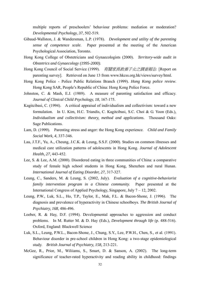multiple reports of preschoolers' behaviour problems: mediation or moderation? *Developmental Psychology, 37*, 502-519.

- Gibaud-Wallston, J. & Wandersman, L.P. (1978). *Development and utility of the parenting sense of competence scale*. Paper presented at the meeting of the American Psychological Association, Toronto.
- Hong Kong College of Obstetricians and Gynaecologists (2000). *Territory-wide audit in Obstetrics and Gynaecology (1995-2000)*.
- Hong Kong Council of Social Service (1999). 有關家長教養子女之調査報告. [Report on parenting survey]. Retrieved on June 13 from www.hkcss.org.hk/views/survey/html.
- Hong Kong Police Police Public Relations Branch (1999). *Hong Kong police review*. Hong Kong SAR, People's Republic of China: Hong Kong Police Force.
- Johnston, C. & Mash, E.J. (1989). A measure of parenting satisfaction and efficacy. *Journal of Clinical Child Psychology, 18*, 167-175.
- Kagitcibasi, C. (1994). A critical appraisal of individualism and collectivism: toward a new formulation. In U. Kim, H.C. Triandis, C. Kagitcibasi, S.C. Choi & G. Yoon (Eds.), *Individualism and collectivism: theory, method and applications.* Thousand Oaks: Sage Publications.
- Lam, D. (1999). Parenting stress and anger: the Hong Kong experience. *Child and Family Social Work, 4*, 337-346.
- Lau, J.T.F., Yu, A., Cheung, J.C.K. & Leung, S.S.F. (2000). Studies on common illnesses and medical care utilization patterns of adolescents in Hong Kong. *Journal of Adolescent Health, 27*, 443-452.
- Lee, S. & Lee, A.M. (2000). Disordered eating in three communities of China: a comparative study of female high school students in Hong Kong, Shenzhen and rural Hunan. *International Journal of Eating Disorder, 27*, 317-327.
- Leung, C., Sanders, M. & Leung, S. (2002, July). *Evaluation of a cognitive-behaviorist family intervention program in a Chinese community.* Paper presented at the International Congress of Applied Psychology, Singapore, July 7 – 12, 2002.
- Leung, P.W., Luk, S.L., Ho, T.P., Taylor, E., Mak, F.L. & Bacon-Shone, J. (1996). The diagnosis and prevalence of hyperactivity in Chinese schoolboys. *The British Journal of Psychiatry, 168*, 486-496.
- Loeber, R. & Hay, D.F. (1994). Developmental approaches to aggression and conduct problems. In M. Rutter M. & D. Hay (Eds.), *Development through life* (p. 488-516). Oxford, England: Blackwell Science
- Luk, S.L., Leung, P.W.L., Bacon-Shone, J., Chung, S.Y., Lee, P.W.H., Chen, S., et al. (1991). Behaviour disorder in pre-school children in Hong Kong: a two-stage epidemiological study. *British Journal of Psychiatry, 158,* 213-221.
- McGee, R., Prior, M., Wiliiams, S., Smart, D. & Sanson, A. (2002). The long-term significance of teacher-rated hyperactivity and reading ability in childhood: findings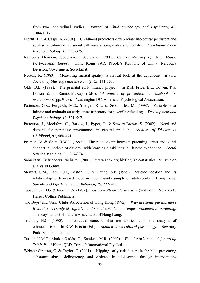from two longitudinal studies. *Journal of Child Psychology and Psychiatry, 43,*  1004-1017.

- Moffit, T.E. & Caspi, A. (2001). Childhood predictors differentiate life-course persistent and adolescence-limited antisocial pathways among males and females. *Development and Psychopathology, 13,* 355-375.
- Narcotics Division, Government Secretariat (2001). *Central Registry of Drug Abuse. Forty-seventh Report*. Hong Kong SAR, People's Republic of China: Narcotics Division, Government Secretariat.
- Norton, R. (1983). Measuring marital quality: a critical look at the dependent variable. *Journal of Marriage and the Family, 45*, 141-151.
- Olds, D.L. (1988). The prenatal early infancy project. In R.H. Price, E.L. Cowen, R.P. Lorion & J. Ramos-McKay (Eds.), *14 ounces of prevention: a casebook for practitioners* (pp. 9-23). Washington DC: American Psychological Association.
- Patterson, G.R., Forgatch, M.S., Yoerger, K.L. & Stoolmiller, M. (1998). Variables that initiate and maintain an early-onset trajectory for juvenile offending. *Development and Psychopathology, 18*, 531-547.
- Patterson, J., Mockford, C., Barlow, J., Pyper, C. & Stewart-Brown, S. (2002). Need and demand for parenting programmes in general practice. *Archives of Disease in Childhood, 87,* 468-471.
- Pearson, V. & Chan, T.W.L. (1993). The relationship between parenting stress and social support in mothers of children with learning disabilities: a Chinese experience. *Social Science Medicine, 37*, 267-274.
- Samaritan Befrienders website (2001). www.sbhk.org.hk/English/e-statistics & suicide analysis003.htm.
- Stewart, S.M., Lam, T.H., Beston, C. & Chung, S.F. (1999). Suicide ideation and its relationship to depressed mood in a community sample of adolescents in Hong Kong. *Suicide and Life Threatening Behavior, 29*, 227-240.
- Tabachnick, B.G. & Fidell, L.S. (1989). *Using multivariate statistics* (2nd ed.). New York: Harper Collins Publishers.
- The Boys' and Girls' Clubs Association of Hong Kong (1992). *Why are some parents more irritable? A study of cognitive and social correlates of anger proneness in parenting*. The Boys' and Girls' Clubs Association of Hong Kong.
- Triandis, H.C. (1990). Theoretical concepts that are applicable to the analysis of ethnocentrism. In R.W. Brislin (Ed.), *Applied cross-cultural psychology.* Newbury Park: Sage Publications.
- Turner, K.M.T., Markie-Dadds, C., Sanders, M.R. (2002). *Facilitator's manual for group Triple P.* Milton, QLD, Triple P International Pty. Ltd.
- Webster-Stratton, C. & Taylor, T. (2001). Nipping early risk factors in the bud: preventing substance abuse, delinquency, and violence in adolescence through interventions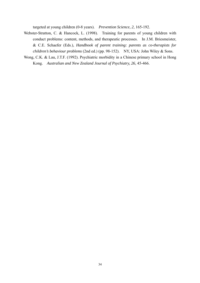targeted at young children (0-8 years). *Prevention Science, 2*, 165-192.

- Webster-Stratton, C. & Hancock, L. (1998). Training for parents of young children with conduct problems: content, methods, and therapeutic processes. In J.M. Briesmeister, & C.E. Schaefer (Eds.), *Handbook of parent training: parents as co-therapists for children's behaviour problems* (2nd ed.) (pp. 98-152). NY, USA: John Wiley & Sons.
- Wong, C.K. & Lau, J.T.F. (1992). Psychiatric morbidity in a Chinese primary school in Hong Kong. *Australian and New Zealand Journal of Psychiatry, 26*, 45-466.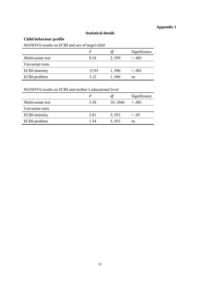# **Appendix 1**

## **Statistical details**

# **Child behaviour profile**

MANOVA results on ECBI and sex of target child

|                       | F     | dt    | Significance |
|-----------------------|-------|-------|--------------|
| Multivariate test     | 834   | 2,939 | $\leq 0.001$ |
| Univariate tests      |       |       |              |
| <b>ECBI-intensity</b> | 15.93 | 1,940 | 0.001        |
| ECBI-problem          | 3.12  | 1,940 | ns           |

MANOVA results on ECBI and mother's educational level

|                       | F    |          | Significance |
|-----------------------|------|----------|--------------|
| Multivariate test     | 3.38 | 10, 1866 | $\leq .001$  |
| Univariate tests      |      |          |              |
| <b>ECBI-intensity</b> | 2.81 | 5,933    | $\leq .05$   |
| ECBI-problem          | 1 34 | 5,933    | ns           |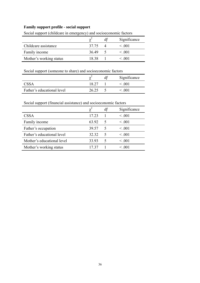## **Family support profile - social support**

|                         |       | dt | Significance |
|-------------------------|-------|----|--------------|
| Childcare assistance    | 37.75 |    | $\leq 0.01$  |
| Family income           | 36.49 |    | $\leq 0.01$  |
| Mother's working status | 1838  |    | < 001        |

Social support (childcare in emergency) and socioeconomic factors

Social support (someone to share) and socioeconomic factors

|                            |       | Significance |
|----------------------------|-------|--------------|
| <b>CSSA</b>                | 18.27 | < 001        |
| Father's educational level | 26.25 | < 001        |

# Social support (financial assistance) and socioeconomic factors

|                            |       |   | Significance |
|----------------------------|-------|---|--------------|
| <b>CSSA</b>                | 17.23 |   | < 0.001      |
| Family income              | 63.92 | 5 | < 0.001      |
| Father's occupation        | 39.57 | 5 | < 0.001      |
| Father's educational level | 32.32 | 5 | < 0.001      |
| Mother's educational level | 33.93 | 5 | < 0.001      |
| Mother's working status    | 17 37 |   | $\leq .001$  |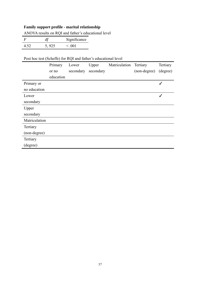# **Family support profile - marital relationship**

ANOVA results on RQI and father's educational level

| F    | df    | Significance |
|------|-------|--------------|
| 4.52 | 5,925 | $\leq 0.01$  |

# Post hoc test (Scheffe) for RQI and father's educational level

|               | Primary   | Lower     | Upper     | Matriculation | Tertiary     | Tertiary     |
|---------------|-----------|-----------|-----------|---------------|--------------|--------------|
|               | or no     | secondary | secondary |               | (non-degree) | (degree)     |
|               | education |           |           |               |              |              |
| Primary or    |           |           |           |               |              | $\checkmark$ |
| no education  |           |           |           |               |              |              |
| Lower         |           |           |           |               |              | ✓            |
| secondary     |           |           |           |               |              |              |
| Upper         |           |           |           |               |              |              |
| secondary     |           |           |           |               |              |              |
| Matriculation |           |           |           |               |              |              |
| Tertiary      |           |           |           |               |              |              |
| (non-degree)  |           |           |           |               |              |              |
| Tertiary      |           |           |           |               |              |              |
| (degree)      |           |           |           |               |              |              |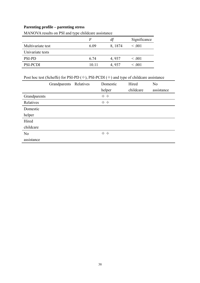# **Parenting profile – parenting stress**

|                   | F     | $d\!f$  | Significance |
|-------------------|-------|---------|--------------|
| Multivariate test | 6.09  | 8, 1874 | $\leq .001$  |
| Univariate tests  |       |         |              |
| <b>PSI-PD</b>     | 6.74  | 4,937   | $\leq .001$  |
| PSI-PCDI          | 10 11 | 4,937   | $\leq .001$  |

MANOVA results on PSI and type childcare assistance

# Post hoc test (Scheffe) for PSI-PD  $(\oplus)$ , PSI-PCDI  $(\oplus)$  and type of childcare assistance

|                | Grandparents | Relatives | Domestic | Hired     | N <sub>0</sub> |
|----------------|--------------|-----------|----------|-----------|----------------|
|                |              |           | helper   | childcare | assistance     |
| Grandparents   |              |           | ⇒ 中      |           |                |
| Relatives      |              |           | ⇒ 中      |           |                |
| Domestic       |              |           |          |           |                |
| helper         |              |           |          |           |                |
| Hired          |              |           |          |           |                |
| childcare      |              |           |          |           |                |
| N <sub>o</sub> |              |           | ⇒ 中      |           |                |
| assistance     |              |           |          |           |                |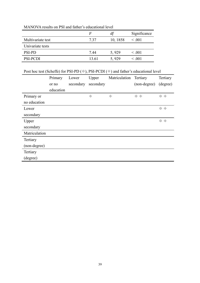|                   | F     | df       | Significance |
|-------------------|-------|----------|--------------|
| Multivariate test | 737   | 10, 1858 | $\leq .001$  |
| Univariate tests  |       |          |              |
| <b>PSI-PD</b>     | 7.44  | 5,929    | $\leq .001$  |
| PSI-PCDI          | 13.61 | 5.929    | $\leq 0.01$  |

MANOVA results on PSI and father's educational level

# Post hoc test (Scheffe) for PSI-PD  $(\oplus)$ , PSI-PCDI  $(\oplus)$  and father's educational level

|                         |               | Tertiary     | Tertiary                             |
|-------------------------|---------------|--------------|--------------------------------------|
| secondary               |               | (non-degree) | (degree)                             |
|                         |               |              |                                      |
| $\color{red} \bigoplus$ | $\Rightarrow$ | ⇒ 母          | ← 中                                  |
|                         |               |              |                                      |
|                         |               |              | ⇒ 中                                  |
|                         |               |              |                                      |
|                         |               |              | $\ddot{\mathrm{t}}$<br>$\Rightarrow$ |
|                         |               |              |                                      |
|                         |               |              |                                      |
|                         |               |              |                                      |
|                         |               |              |                                      |
|                         |               |              |                                      |
|                         |               |              |                                      |
| secondary               |               |              |                                      |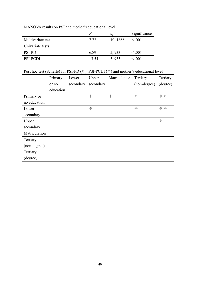|                   | F     | df       | Significance |
|-------------------|-------|----------|--------------|
| Multivariate test | 7.72  | 10, 1866 | $\leq .001$  |
| Univariate tests  |       |          |              |
| <b>PSI-PD</b>     | 6.89  | 5,933    | $\leq .001$  |
| PSI-PCDI          | 13.54 | 5,933    | $\leq 0.01$  |

MANOVA results on PSI and mother's educational level

# Post hoc test (Scheffe) for PSI-PD  $(\oplus)$ , PSI-PCDI  $(\oplus)$  and mother's educational level

|               | Primary   | Lower     | Upper                            | Matriculation           | Tertiary                                  | Tertiary                                  |
|---------------|-----------|-----------|----------------------------------|-------------------------|-------------------------------------------|-------------------------------------------|
|               | or no     | secondary | secondary                        |                         | (non-degree)                              | (degree)                                  |
|               | education |           |                                  |                         |                                           |                                           |
| Primary or    |           |           | $\color{red} \color{black} \Phi$ | $\color{red} \bigoplus$ | ♦                                         | ⇒ 母                                       |
| no education  |           |           |                                  |                         |                                           |                                           |
| Lower         |           |           | ⊕                                |                         | $\color{red} \color{black} \blacklozenge$ | ⊕<br>$\triangle$                          |
| secondary     |           |           |                                  |                         |                                           |                                           |
| Upper         |           |           |                                  |                         |                                           | $\color{red} \color{black} \blacklozenge$ |
| secondary     |           |           |                                  |                         |                                           |                                           |
| Matriculation |           |           |                                  |                         |                                           |                                           |
| Tertiary      |           |           |                                  |                         |                                           |                                           |
| (non-degree)  |           |           |                                  |                         |                                           |                                           |
| Tertiary      |           |           |                                  |                         |                                           |                                           |
| (degree)      |           |           |                                  |                         |                                           |                                           |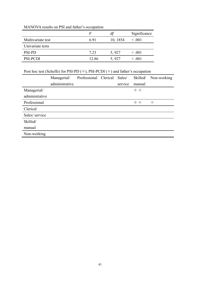|                   | F     | df       | Significance |
|-------------------|-------|----------|--------------|
| Multivariate test | 6.91  | 10, 1854 | $\leq .001$  |
| Univariate tests  |       |          |              |
| <b>PSI-PD</b>     | 7.23  | 5,927    | $\leq .001$  |
| <b>PSI-PCDI</b>   | 12.86 | 5,927    | $\leq 0.001$ |

# MANOVA results on PSI and father's occupation

# Post hoc test (Scheffe) for PSI-PD  $(\oplus)$ , PSI-PCDI  $(\oplus)$  and father's occupation

|                | Managerial/    | Professional Clerical | Sales/  | Skilled/ | Non-working                           |
|----------------|----------------|-----------------------|---------|----------|---------------------------------------|
|                | administrative |                       | service | manual   |                                       |
| Managerial/    |                |                       |         | ⇒ 中      |                                       |
| administrative |                |                       |         |          |                                       |
| Professional   |                |                       |         | ⇒ 中      | $\color{red} \color{black} \bigoplus$ |
| Clerical       |                |                       |         |          |                                       |
| Sales/service  |                |                       |         |          |                                       |
| Skilled/       |                |                       |         |          |                                       |
| manual         |                |                       |         |          |                                       |
| Non-working    |                |                       |         |          |                                       |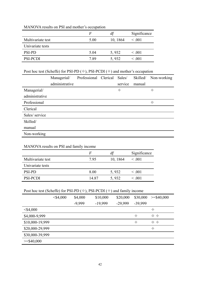|                   | F    | df       | Significance |
|-------------------|------|----------|--------------|
| Multivariate test | 5.00 | 10, 1864 | $\leq .001$  |
| Univariate tests  |      |          |              |
| <b>PSI-PD</b>     | 5.04 | 5,932    | $\leq .001$  |
| <b>PSI-PCDI</b>   | 7.89 | 5,932    | $\leq .001$  |

## MANOVA results on PSI and mother's occupation

# Post hoc test (Scheffe) for PSI-PD  $(\oplus)$ , PSI-PCDI  $(\oplus)$  and mother's occupation

|                | Managerial/    | Professional Clerical | Sales/  | Skilled/ | Non-working |
|----------------|----------------|-----------------------|---------|----------|-------------|
|                | administrative |                       | service | manual   |             |
| Managerial/    |                |                       | ♦       |          | ♦           |
| administrative |                |                       |         |          |             |
| Professional   |                |                       |         |          | 毋           |
| Clerical       |                |                       |         |          |             |
| Sales/service  |                |                       |         |          |             |
| Skilled/       |                |                       |         |          |             |
| manual         |                |                       |         |          |             |
| Non-working    |                |                       |         |          |             |

# MANOVA results on PSI and family income

|                   | F     | df       | Significance |
|-------------------|-------|----------|--------------|
| Multivariate test | 795   | 10, 1864 | $\leq .001$  |
| Univariate tests  |       |          |              |
| <b>PSI-PD</b>     | 8.00  | 5,932    | $\leq .001$  |
| <b>PSI-PCDI</b>   | 14 87 | 5,932    | $\leq 0.01$  |

# Post hoc test (Scheffe) for PSI-PD ( $\oplus$ ), PSI-PCDI ( $\oplus$ ) and family income

|                 | $<$ \$4,000 | \$4,000  | \$10,000  | \$20,000  | \$30,000      | $>=$ \$40,000      |
|-----------------|-------------|----------|-----------|-----------|---------------|--------------------|
|                 |             | $-9,999$ | $-19,999$ | $-29,999$ | -39,999       |                    |
| $<$ \$4,000     |             |          |           |           |               | $\Rightarrow$      |
| \$4,000-9,999   |             |          |           |           | $\Rightarrow$ | ⇒ 中                |
| \$10,000-19,999 |             |          |           |           | $\Rightarrow$ | 0<br>$\Rightarrow$ |
| \$20,000-29,999 |             |          |           |           |               | $\Rightarrow$      |
| \$30,000-39,999 |             |          |           |           |               |                    |
| $>=$ \$40,000   |             |          |           |           |               |                    |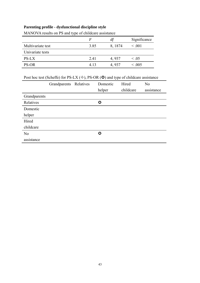# **Parenting profile - dysfunctional discipline style**

|                   | $\bm{F}$ | df      | Significance |
|-------------------|----------|---------|--------------|
| Multivariate test | 3.85     | 8, 1874 | $\leq .001$  |
| Univariate tests  |          |         |              |
| <b>PS-LX</b>      | 2.41     | 4,937   | $\leq .05$   |
| PS-OR             | 4 13     | 4,937   | $\leq .005$  |

MANOVA results on PS and type of childcare assistance

Post hoc test (Scheffe) for PS-LX ( $\diamond$ ), PS-OR ( $\odot$ ) and type of childcare assistance

|                | Grandparents Relatives | Domestic           | Hired     | N <sub>0</sub> |
|----------------|------------------------|--------------------|-----------|----------------|
|                |                        | helper             | childcare | assistance     |
| Grandparents   |                        |                    |           |                |
| Relatives      |                        | $\bm{\bm{\omega}}$ |           |                |
| Domestic       |                        |                    |           |                |
| helper         |                        |                    |           |                |
| Hired          |                        |                    |           |                |
| childcare      |                        |                    |           |                |
| N <sub>0</sub> |                        | $\bf{O}$           |           |                |
| assistance     |                        |                    |           |                |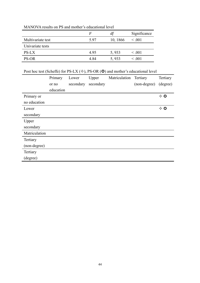|                   | F    | df       | Significance |
|-------------------|------|----------|--------------|
| Multivariate test | 597  | 10, 1866 | $\leq .001$  |
| Univariate tests  |      |          |              |
| <b>PS-LX</b>      | 4.95 | 5,933    | $\leq .001$  |
| <b>PS-OR</b>      | 4 84 | 5,933    | $\leq 0.001$ |

MANOVA results on PS and mother's educational level

Post hoc test (Scheffe) for PS-LX ( $\diamond$ ), PS-OR ( $\odot$ ) and mother's educational level

|               | Primary   | Lower     | Upper     | Matriculation | Tertiary     | Tertiary     |
|---------------|-----------|-----------|-----------|---------------|--------------|--------------|
|               | or no     | secondary | secondary |               | (non-degree) | (degree)     |
|               | education |           |           |               |              |              |
| Primary or    |           |           |           |               |              | $\diamond$ 0 |
| no education  |           |           |           |               |              |              |
| Lower         |           |           |           |               |              | $\diamond$ 0 |
| secondary     |           |           |           |               |              |              |
| Upper         |           |           |           |               |              |              |
| secondary     |           |           |           |               |              |              |
| Matriculation |           |           |           |               |              |              |
| Tertiary      |           |           |           |               |              |              |
| (non-degree)  |           |           |           |               |              |              |
| Tertiary      |           |           |           |               |              |              |
| (degree)      |           |           |           |               |              |              |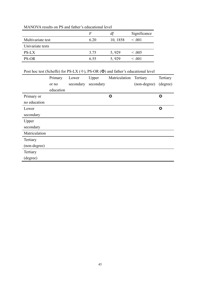|                   | F    | df       | Significance |
|-------------------|------|----------|--------------|
| Multivariate test | 6.20 | 10, 1858 | $\leq .001$  |
| Univariate tests  |      |          |              |
| PS-LX             | 3.75 | 5,929    | < .005       |
| <b>PS-OR</b>      | 6.55 | 5,929    | $\leq 0.01$  |

# MANOVA results on PS and father's educational level

# Post hoc test (Scheffe) for PS-LX ( $\diamond$ ), PS-OR ( $\odot$ ) and father's educational level

|               | Primary   | Lower     | Upper     | Matriculation | Tertiary     | Tertiary  |
|---------------|-----------|-----------|-----------|---------------|--------------|-----------|
|               | or no     | secondary | secondary |               | (non-degree) | (degree)  |
|               | education |           |           |               |              |           |
| Primary or    |           |           |           | $\bullet$     |              | $\bullet$ |
| no education  |           |           |           |               |              |           |
| Lower         |           |           |           |               |              | $\bullet$ |
| secondary     |           |           |           |               |              |           |
| Upper         |           |           |           |               |              |           |
| secondary     |           |           |           |               |              |           |
| Matriculation |           |           |           |               |              |           |
| Tertiary      |           |           |           |               |              |           |
| (non-degree)  |           |           |           |               |              |           |
| Tertiary      |           |           |           |               |              |           |
| (degree)      |           |           |           |               |              |           |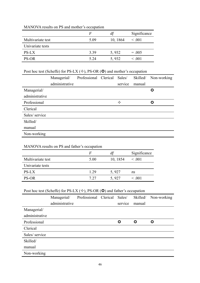|                   | $\bm{F}$ | df       | Significance |
|-------------------|----------|----------|--------------|
| Multivariate test | 5.09     | 10, 1864 | $\leq .001$  |
| Univariate tests  |          |          |              |
| <b>PS-LX</b>      | 3.39     | 5,932    | $= .005$     |
| <b>PS-OR</b>      | 5 2.4    | 5,932    | $\leq 0.001$ |

# MANOVA results on PS and mother's occupation

# Post hoc test (Scheffe) for PS-LX  $(\diamondsuit)$ , PS-OR  $(\circledcirc)$  and mother's occupation

|                | Managerial/    | Professional Clerical | Sales/  | Skilled/ | Non-working |
|----------------|----------------|-----------------------|---------|----------|-------------|
|                | administrative |                       | service | manual   |             |
| Managerial/    |                |                       |         |          | $\bf{O}$    |
| administrative |                |                       |         |          |             |
| Professional   |                |                       | ✧       |          | $\bf{O}$    |
| Clerical       |                |                       |         |          |             |
| Sales/ service |                |                       |         |          |             |
| Skilled/       |                |                       |         |          |             |
| manual         |                |                       |         |          |             |
| Non-working    |                |                       |         |          |             |

# MANOVA results on PS and father's occupation

|                   | F    | $\mu$    | Significance |
|-------------------|------|----------|--------------|
| Multivariate test | 5.00 | 10, 1854 | $\leq 0.001$ |
| Univariate tests  |      |          |              |
| <b>PS-LX</b>      | 1.29 | 5,927    | ns           |
| <b>PS-OR</b>      | 7 27 | 5,927    | $\leq 0.01$  |

# Post hoc test (Scheffe) for PS-LX ( $\diamond$ ), PS-OR ( $\odot$ ) and father's occupation

|                | Managerial/    | Professional Clerical | Sales/   | Skilled/ | Non-working |
|----------------|----------------|-----------------------|----------|----------|-------------|
|                | administrative |                       | service  | manual   |             |
| Managerial/    |                |                       |          |          |             |
| administrative |                |                       |          |          |             |
| Professional   |                |                       | $\bf{O}$ | $\bf{O}$ | ♦           |
| Clerical       |                |                       |          |          |             |
| Sales/ service |                |                       |          |          |             |
| Skilled/       |                |                       |          |          |             |
| manual         |                |                       |          |          |             |
| Non-working    |                |                       |          |          |             |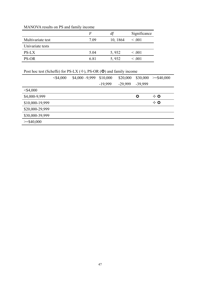# MANOVA results on PS and family income

|                   | F    | df       | Significance |
|-------------------|------|----------|--------------|
| Multivariate test | 7.09 | 10, 1864 | $\leq .001$  |
| Univariate tests  |      |          |              |
| <b>PS-LX</b>      | 5.04 | 5,932    | $\leq .001$  |
| <b>PS-OR</b>      | 681  | 5,932    | $\leq 0.01$  |

Post hoc test (Scheffe) for PS-LX ( $\diamond$ ), PS-OR ( $\odot$ ) and family income

|                 | $<$ \$4,000 | $$4,000 - 9,999$ | \$10,000 | \$20,000  | \$30,000 | $>=$ \$40,000 |
|-----------------|-------------|------------------|----------|-----------|----------|---------------|
|                 |             |                  | -19,999  | $-29,999$ | -39,999  |               |
| $<$ \$4,000     |             |                  |          |           |          |               |
| \$4,000-9,999   |             |                  |          |           | $\bf{C}$ | $\diamond$ 0  |
| \$10,000-19,999 |             |                  |          |           |          | $\diamond$ 0  |
| \$20,000-29,999 |             |                  |          |           |          |               |
| \$30,000-39,999 |             |                  |          |           |          |               |
| $>=$ \$40,000   |             |                  |          |           |          |               |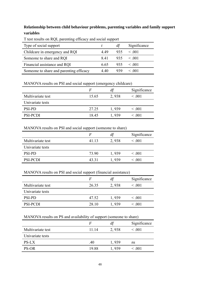# **Relationship between child behaviour problems, parenting variables and family support variables**

| Type of social support                  |      | dt  | Significance   |
|-----------------------------------------|------|-----|----------------|
| Childcare in emergency and RQI          | 449  | 935 | $\leq 0.01$    |
| Someone to share and RQI                | 841  |     | $935 \leq 001$ |
| Financial assistance and RQI            | 6.65 | 935 | < 001          |
| Someone to share and parenting efficacy | 440  | 939 | < 001          |

T test results on RQI, parenting efficacy and social support

MANOVA results on PSI and social support (emergency childcare)

|                   | F     | df    | Significance |
|-------------------|-------|-------|--------------|
| Multivariate test | 15.65 | 2,938 | $\leq .001$  |
| Univariate tests  |       |       |              |
| <b>PSI-PD</b>     | 27.25 | 1,939 | $\leq .001$  |
| <b>PSI-PCDI</b>   | 18.45 | 1,939 | $\leq .001$  |

MANOVA results on PSI and social support (someone to share)

|                   | F     | df    | Significance |
|-------------------|-------|-------|--------------|
| Multivariate test | 41.13 | 2,938 | $\leq .001$  |
| Univariate tests  |       |       |              |
| <b>PSI-PD</b>     | 73.90 | 1,939 | $\leq .001$  |
| PSI-PCDI          | 43 31 | 1.939 | $\leq .001$  |

## MANOVA results on PSI and social support (financial assistance)

|                   | F     | df    | Significance |
|-------------------|-------|-------|--------------|
| Multivariate test | 26.35 | 2,938 | $\leq 0.001$ |
| Univariate tests  |       |       |              |
| <b>PSI-PD</b>     | 47.52 | 1,939 | $\leq .001$  |
| <b>PSI-PCDI</b>   | 28.10 | 1,939 | $\leq 0.001$ |

## MANOVA results on PS and availability of support (someone to share)

|                   | F     | df    | Significance |
|-------------------|-------|-------|--------------|
| Multivariate test | 11 14 | 2,938 | $\leq .001$  |
| Univariate tests  |       |       |              |
| PS-LX             | .40   | 1,939 | ns           |
| <b>PS-OR</b>      | 19.88 | 1,939 | $\leq .001$  |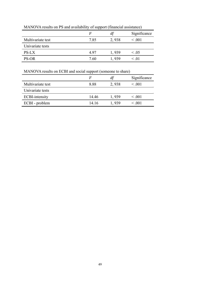|                   | ╯<br>. . |       |              |
|-------------------|----------|-------|--------------|
|                   |          |       | Significance |
| Multivariate test | 7.85     | 2,938 | $\leq .001$  |
| Univariate tests  |          |       |              |
| PS-LX             | 497      | 1,939 | $\leq .05$   |
| <b>PS-OR</b>      | 7.60     | 1.939 | $\leq .01$   |

MANOVA results on PS and availability of support (financial assistance)

# MANOVA results on ECBI and social support (someone to share)

|                       |       | dt    | Significance |
|-----------------------|-------|-------|--------------|
| Multivariate test     | 8.88  | 2,938 | $\leq 0.001$ |
| Univariate tests      |       |       |              |
| <b>ECBI-intensity</b> | 14 46 | 1,939 | $\leq .001$  |
| ECBI - problem        | 14 16 | 1,939 | $\leq .001$  |